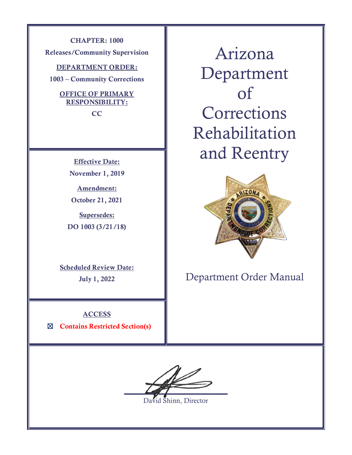**CHAPTER: 1000 Releases/Community Supervision**

**DEPARTMENT ORDER:**

**1003 – Community Corrections**

## **OFFICE OF PRIMARY RESPONSIBILITY:**

**CC**

**Effective Date: November 1, 2019**

**Amendment: October 21, 2021**

**Supersedes: DO 1003 (3/21/18)**

**Scheduled Review Date: July 1, 2022**

**ACCESS** ☒ **Contains Restricted Section(s)**

Arizona Department of **Corrections** Rehabilitation and Reentry



Department Order Manual

David Shinn, Director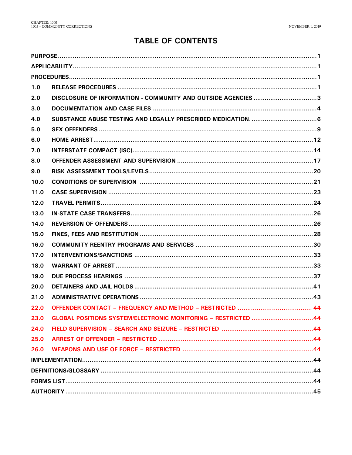# **TABLE OF CONTENTS**

| 1.0  |                                                               |  |  |  |  |  |
|------|---------------------------------------------------------------|--|--|--|--|--|
| 2.0  | DISCLOSURE OF INFORMATION - COMMUNITY AND OUTSIDE AGENCIES 3  |  |  |  |  |  |
| 3.0  |                                                               |  |  |  |  |  |
| 4.0  |                                                               |  |  |  |  |  |
| 5.0  |                                                               |  |  |  |  |  |
| 6.0  |                                                               |  |  |  |  |  |
| 7.0  |                                                               |  |  |  |  |  |
| 8.0  |                                                               |  |  |  |  |  |
| 9.0  |                                                               |  |  |  |  |  |
| 10.0 |                                                               |  |  |  |  |  |
| 11.0 |                                                               |  |  |  |  |  |
| 12.0 |                                                               |  |  |  |  |  |
| 13.0 |                                                               |  |  |  |  |  |
| 14.0 |                                                               |  |  |  |  |  |
| 15.0 |                                                               |  |  |  |  |  |
| 16.0 |                                                               |  |  |  |  |  |
| 17.0 |                                                               |  |  |  |  |  |
| 18.0 |                                                               |  |  |  |  |  |
| 19.0 |                                                               |  |  |  |  |  |
| 20.0 |                                                               |  |  |  |  |  |
| 21.0 |                                                               |  |  |  |  |  |
| 22.0 |                                                               |  |  |  |  |  |
| 23.0 | GLOBAL POSITIONS SYSTEM/ELECTRONIC MONITORING - RESTRICTED 44 |  |  |  |  |  |
| 24.0 |                                                               |  |  |  |  |  |
| 25.0 |                                                               |  |  |  |  |  |
| 26.0 |                                                               |  |  |  |  |  |
|      |                                                               |  |  |  |  |  |
|      |                                                               |  |  |  |  |  |
|      |                                                               |  |  |  |  |  |
|      |                                                               |  |  |  |  |  |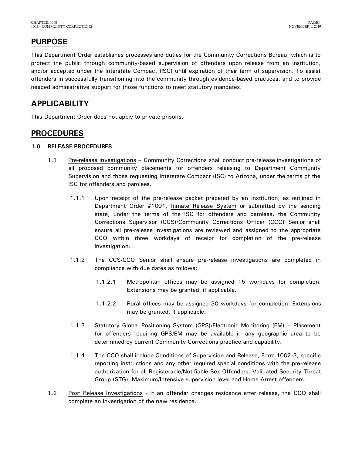# <span id="page-2-0"></span>**PURPOSE**

This Department Order establishes processes and duties for the Community Corrections Bureau, which is to protect the public through community-based supervision of offenders upon release from an institution, and/or accepted under the Interstate Compact (ISC) until expiration of their term of supervision. To assist offenders in successfully transitioning into the community through evidence-based practices, and to provide needed administrative support for those functions to meet statutory mandates.

## <span id="page-2-1"></span>**APPLICABILITY**

This Department Order does not apply to private prisons.

## <span id="page-2-2"></span>**PROCEDURES**

### <span id="page-2-3"></span>**1.0 RELEASE PROCEDURES**

- 1.1 Pre-release Investigations Community Corrections shall conduct pre-release investigations of all proposed community placements for offenders releasing to Department Community Supervision and those requesting Interstate Compact (ISC) to Arizona, under the terms of the ISC for offenders and parolees.
	- 1.1.1 Upon receipt of the pre-release packet prepared by an institution, as outlined in Department Order #1001, Inmate Release System or submitted by the sending state, under the terms of the ISC for offenders and parolees, the Community Corrections Supervisor (CCS)/Community Corrections Officer (CCO) Senior shall ensure all pre-release investigations are reviewed and assigned to the appropriate CCO within three workdays of receipt for completion of the pre-release investigation.
	- 1.1.2 The CCS/CCO Senior shall ensure pre-release investigations are completed in compliance with due dates as follows:
		- 1.1.2.1 Metropolitan offices may be assigned 15 workdays for completion. Extensions may be granted, if applicable.
		- 1.1.2.2 Rural offices may be assigned 30 workdays for completion. Extensions may be granted, if applicable.
	- 1.1.3 Statutory Global Positioning System (GPS)/Electronic Monitoring (EM) Placement for offenders requiring GPS/EM may be available in any geographic area to be determined by current Community Corrections practice and capability.
	- 1.1.4 The CCO shall include Conditions of Supervision and Release, Form 1002-3, specific reporting instructions and any other required special conditions with the pre-release authorization for all Registerable/Notifiable Sex Offenders, Validated Security Threat Group (STG), Maximum/Intensive supervision level and Home Arrest offenders.
- 1.2 Post Release Investigations If an offender changes residence after release, the CCO shall complete an investigation of the new residence.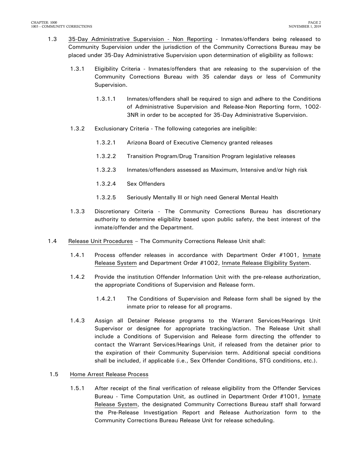- 1.3 35-Day Administrative Supervision Non Reporting Inmates/offenders being released to Community Supervision under the jurisdiction of the Community Corrections Bureau may be placed under 35-Day Administrative Supervision upon determination of eligibility as follows:
	- 1.3.1 Eligibility Criteria Inmates/offenders that are releasing to the supervision of the Community Corrections Bureau with 35 calendar days or less of Community Supervision.
		- 1.3.1.1 Inmates/offenders shall be required to sign and adhere to the Conditions of Administrative Supervision and Release-Non Reporting form, 1002- 3NR in order to be accepted for 35-Day Administrative Supervision.
	- 1.3.2 Exclusionary Criteria The following categories are ineligible:
		- 1.3.2.1 Arizona Board of Executive Clemency granted releases
		- 1.3.2.2 Transition Program/Drug Transition Program legislative releases
		- 1.3.2.3 Inmates/offenders assessed as Maximum, Intensive and/or high risk
		- 1.3.2.4 Sex Offenders
		- 1.3.2.5 Seriously Mentally Ill or high need General Mental Health
	- 1.3.3 Discretionary Criteria The Community Corrections Bureau has discretionary authority to determine eligibility based upon public safety, the best interest of the inmate/offender and the Department.
- 1.4 Release Unit Procedures The Community Corrections Release Unit shall:
	- 1.4.1 Process offender releases in accordance with Department Order #1001, Inmate Release System and Department Order #1002, Inmate Release Eligibility System.
	- 1.4.2 Provide the institution Offender Information Unit with the pre-release authorization, the appropriate Conditions of Supervision and Release form.
		- 1.4.2.1 The Conditions of Supervision and Release form shall be signed by the inmate prior to release for all programs.
	- 1.4.3 Assign all Detainer Release programs to the Warrant Services/Hearings Unit Supervisor or designee for appropriate tracking/action. The Release Unit shall include a Conditions of Supervision and Release form directing the offender to contact the Warrant Services/Hearings Unit, if released from the detainer prior to the expiration of their Community Supervision term. Additional special conditions shall be included, if applicable (i.e., Sex Offender Conditions, STG conditions, etc.).

### 1.5 Home Arrest Release Process

1.5.1 After receipt of the final verification of release eligibility from the Offender Services Bureau - Time Computation Unit, as outlined in Department Order #1001, Inmate Release System, the designated Community Corrections Bureau staff shall forward the Pre-Release Investigation Report and Release Authorization form to the Community Corrections Bureau Release Unit for release scheduling.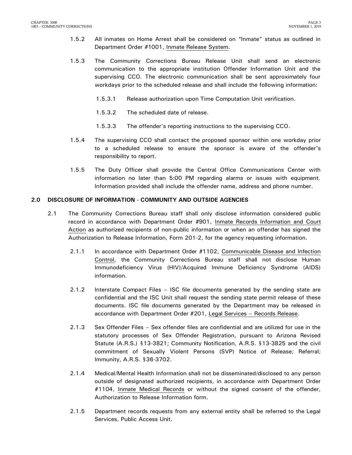- 1.5.2 All inmates on Home Arrest shall be considered on "Inmate" status as outlined in Department Order #1001, Inmate Release System.
- 1.5.3 The Community Corrections Bureau Release Unit shall send an electronic communication to the appropriate institution Offender Information Unit and the supervising CCO. The electronic communication shall be sent approximately four workdays prior to the scheduled release and shall include the following information:
	- 1.5.3.1 Release authorization upon Time Computation Unit verification.
	- 1.5.3.2 The scheduled date of release.
	- 1.5.3.3 The offender's reporting instructions to the supervising CCO.
- 1.5.4 The supervising CCO shall contact the proposed sponsor within one workday prior to a scheduled release to ensure the sponsor is aware of the offender's responsibility to report.
- 1.5.5 The Duty Officer shall provide the Central Office Communications Center with information no later than 5:00 PM regarding alarms or issues with equipment. Information provided shall include the offender name, address and phone number.

### <span id="page-4-0"></span>**2.0 DISCLOSURE OF INFORMATION - COMMUNITY AND OUTSIDE AGENCIES**

- 2.1 The Community Corrections Bureau staff shall only disclose information considered public record in accordance with Department Order #901, Inmate Records Information and Court Action as authorized recipients of non-public information or when an offender has signed the Authorization to Release Information, Form 201-2, for the agency requesting information.
	- 2.1.1 In accordance with Department Order #1102, Communicable Disease and Infection Control, the Community Corrections Bureau staff shall not disclose Human Immunodeficiency Virus (HIV)/Acquired Immune Deficiency Syndrome (AIDS) information.
	- 2.1.2 Interstate Compact Files ISC file documents generated by the sending state are confidential and the ISC Unit shall request the sending state permit release of these documents. ISC file documents generated by the Department may be released in accordance with Department Order #201, Legal Services – Records Release.
	- 2.1.3 Sex Offender Files Sex offender files are confidential and are utilized for use in the statutory processes of Sex Offender Registration, pursuant to Arizona Revised Statute (A.R.S.) §13-3821; Community Notification, A.R.S. §13-3825 and the civil commitment of Sexually Violent Persons (SVP) Notice of Release; Referral; Immunity, A.R.S. §36-3702.
	- 2.1.4 Medical/Mental Health Information shall not be disseminated/disclosed to any person outside of designated authorized recipients, in accordance with Department Order #1104, Inmate Medical Records or without the signed consent of the offender, Authorization to Release Information form.
	- 2.1.5 Department records requests from any external entity shall be referred to the Legal Services, Public Access Unit.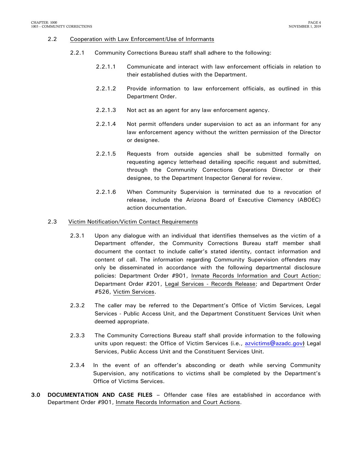#### 2.2 Cooperation with Law Enforcement/Use of Informants

- 2.2.1 Community Corrections Bureau staff shall adhere to the following:
	- 2.2.1.1 Communicate and interact with law enforcement officials in relation to their established duties with the Department.
	- 2.2.1.2 Provide information to law enforcement officials, as outlined in this Department Order.
	- 2.2.1.3 Not act as an agent for any law enforcement agency.
	- 2.2.1.4 Not permit offenders under supervision to act as an informant for any law enforcement agency without the written permission of the Director or designee.
	- 2.2.1.5 Requests from outside agencies shall be submitted formally on requesting agency letterhead detailing specific request and submitted, through the Community Corrections Operations Director or their designee, to the Department Inspector General for review.
	- 2.2.1.6 When Community Supervision is terminated due to a revocation of release, include the Arizona Board of Executive Clemency (ABOEC) action documentation.

#### 2.3 Victim Notification/Victim Contact Requirements

- 2.3.1 Upon any dialogue with an individual that identifies themselves as the victim of a Department offender, the Community Corrections Bureau staff member shall document the contact to include caller's stated identity, contact information and content of call. The information regarding Community Supervision offenders may only be disseminated in accordance with the following departmental disclosure policies: Department Order #901, Inmate Records Information and Court Action; Department Order #201, Legal Services - Records Release; and Department Order #526, Victim Services.
- 2.3.2 The caller may be referred to the Department's Office of Victim Services, Legal Services - Public Access Unit, and the Department Constituent Services Unit when deemed appropriate.
- 2.3.3 The Community Corrections Bureau staff shall provide information to the following units upon request: the Office of Victim Services (i.e., [azvictims@azadc.gov](mailto:azvictims@azadc.gov)**)** Legal Services, Public Access Unit and the Constituent Services Unit.
- 2.3.4 In the event of an offender's absconding or death while serving Community Supervision, any notifications to victims shall be completed by the Department's Office of Victims Services.
- <span id="page-5-0"></span>**3.0 DOCUMENTATION AND CASE FILES –** Offender case files are established in accordance with Department Order #901, Inmate Records Information and Court Actions.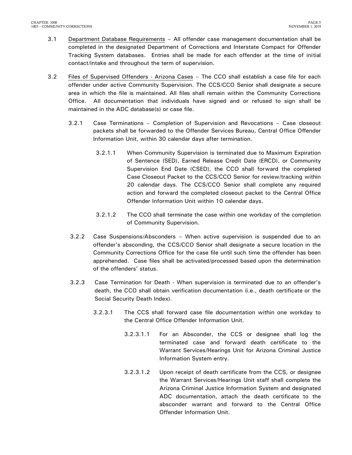- 3.1 Department Database Requirements All offender case management documentation shall be completed in the designated Department of Corrections and Interstate Compact for Offender Tracking System databases. Entries shall be made for each offender at the time of initial contact/intake and throughout the term of supervision.
- 3.2 Files of Supervised Offenders Arizona Cases The CCO shall establish a case file for each offender under active Community Supervision. The CCS/CCO Senior shall designate a secure area in which the file is maintained. All files shall remain within the Community Corrections Office. All documentation that individuals have signed and or refused to sign shall be maintained in the ADC database(s) or case file.
	- 3.2.1 Case Terminations Completion of Supervision and Revocations Case closeout packets shall be forwarded to the Offender Services Bureau, Central Office Offender Information Unit, within 30 calendar days after termination.
		- 3.2.1.1 When Community Supervision is terminated due to Maximum Expiration of Sentence (SED), Earned Release Credit Date (ERCD), or Community Supervision End Date (CSED), the CCO shall forward the completed Case Closeout Packet to the CCS/CCO Senior for review/tracking within 20 calendar days. The CCS/CCO Senior shall complete any required action and forward the completed closeout packet to the Central Office Offender Information Unit within 10 calendar days.
		- 3.2.1.2 The CCO shall terminate the case within one workday of the completion of Community Supervision.
	- 3.2.2 Case Suspensions/Absconders When active supervision is suspended due to an offender's absconding, the CCS/CCO Senior shall designate a secure location in the Community Corrections Office for the case file until such time the offender has been apprehended. Case files shall be activated/processed based upon the determination of the offenders' status.
	- 3.2.3 Case Termination for Death When supervision is terminated due to an offender's death, the CCO shall obtain verification documentation (i.e., death certificate or the Social Security Death Index).
		- 3.2.3.1 The CCS shall forward case file documentation within one workday to the Central Office Offender Information Unit.
			- 3.2.3.1.1 For an Absconder, the CCS or designee shall log the terminated case and forward death certificate to the Warrant Services/Hearings Unit for Arizona Criminal Justice Information System entry.
			- 3.2.3.1.2 Upon receipt of death certificate from the CCS, or designee the Warrant Services/Hearings Unit staff shall complete the Arizona Criminal Justice Information System and designated ADC documentation, attach the death certificate to the absconder warrant and forward to the Central Office Offender Information Unit.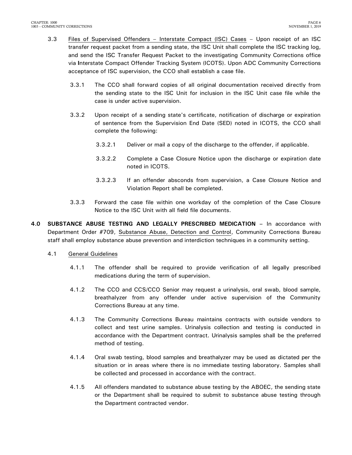- 3.3 Files of Supervised Offenders Interstate Compact (ISC) Cases Upon receipt of an ISC transfer request packet from a sending state, the ISC Unit shall complete the ISC tracking log, and send the ISC Transfer Request Packet to the investigating Community Corrections office via **I**nterstate Compact Offender Tracking System (ICOTS). Upon ADC Community Corrections acceptance of ISC supervision, the CCO shall establish a case file.
	- 3.3.1 The CCO shall forward copies of all original documentation received directly from the sending state to the ISC Unit for inclusion in the ISC Unit case file while the case is under active supervision.
	- 3.3.2 Upon receipt of a sending state's certificate, notification of discharge or expiration of sentence from the Supervision End Date (SED) noted in ICOTS, the CCO shall complete the following:
		- 3.3.2.1 Deliver or mail a copy of the discharge to the offender, if applicable.
		- 3.3.2.2 Complete a Case Closure Notice upon the discharge or expiration date noted in ICOTS.
		- 3.3.2.3 If an offender absconds from supervision, a Case Closure Notice and Violation Report shall be completed.
	- 3.3.3 Forward the case file within one workday of the completion of the Case Closure Notice to the ISC Unit with all field file documents.
- <span id="page-7-0"></span>**4.0 SUBSTANCE ABUSE TESTING AND LEGALLY PRESCRIBED MEDICATION –** In accordance with Department Order #709, Substance Abuse, Detection and Control, Community Corrections Bureau staff shall employ substance abuse prevention and interdiction techniques in a community setting.
	- 4.1 General Guidelines
		- 4.1.1 The offender shall be required to provide verification of all legally prescribed medications during the term of supervision.
		- 4.1.2 The CCO and CCS/CCO Senior may request a urinalysis, oral swab, blood sample, breathalyzer from any offender under active supervision of the Community Corrections Bureau at any time.
		- 4.1.3 The Community Corrections Bureau maintains contracts with outside vendors to collect and test urine samples. Urinalysis collection and testing is conducted in accordance with the Department contract. Urinalysis samples shall be the preferred method of testing.
		- 4.1.4 Oral swab testing, blood samples and breathalyzer may be used as dictated per the situation or in areas where there is no immediate testing laboratory. Samples shall be collected and processed in accordance with the contract.
		- 4.1.5 All offenders mandated to substance abuse testing by the ABOEC, the sending state or the Department shall be required to submit to substance abuse testing through the Department contracted vendor.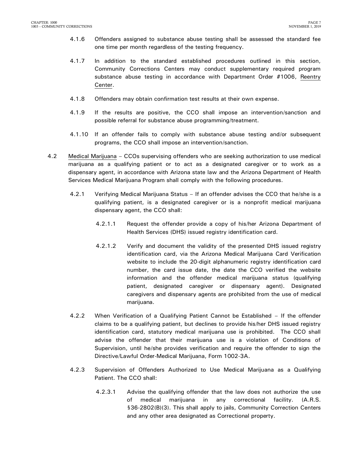- 4.1.6 Offenders assigned to substance abuse testing shall be assessed the standard fee one time per month regardless of the testing frequency.
- 4.1.7 In addition to the standard established procedures outlined in this section, Community Corrections Centers may conduct supplementary required program substance abuse testing in accordance with Department Order #1006, Reentry Center.
- 4.1.8 Offenders may obtain confirmation test results at their own expense.
- 4.1.9 If the results are positive, the CCO shall impose an intervention/sanction and possible referral for substance abuse programming/treatment.
- 4.1.10 If an offender fails to comply with substance abuse testing and/or subsequent programs, the CCO shall impose an intervention/sanction.
- 4.2 Medical Marijuana CCOs supervising offenders who are seeking authorization to use medical marijuana as a qualifying patient or to act as a designated caregiver or to work as a dispensary agent, in accordance with Arizona state law and the Arizona Department of Health Services Medical Marijuana Program shall comply with the following procedures.
	- 4.2.1 Verifying Medical Marijuana Status If an offender advises the CCO that he/she is a qualifying patient, is a designated caregiver or is a nonprofit medical marijuana dispensary agent, the CCO shall:
		- 4.2.1.1 Request the offender provide a copy of his/her Arizona Department of Health Services (DHS) issued registry identification card.
		- 4.2.1.2 Verify and document the validity of the presented DHS issued registry identification card, via the Arizona Medical Marijuana Card Verification website to include the 20-digit alphanumeric registry identification card number, the card issue date, the date the CCO verified the website information and the offender medical marijuana status (qualifying patient, designated caregiver or dispensary agent). Designated caregivers and dispensary agents are prohibited from the use of medical marijuana.
	- 4.2.2 When Verification of a Qualifying Patient Cannot be Established If the offender claims to be a qualifying patient, but declines to provide his/her DHS issued registry identification card, statutory medical marijuana use is prohibited. The CCO shall advise the offender that their marijuana use is a violation of Conditions of Supervision, until he/she provides verification and require the offender to sign the Directive/Lawful Order-Medical Marijuana, Form 1002-3A.
	- 4.2.3 Supervision of Offenders Authorized to Use Medical Marijuana as a Qualifying Patient. The CCO shall:
		- 4.2.3.1 Advise the qualifying offender that the law does not authorize the use of medical marijuana in any correctional facility. (A.R.S. §36-2802(B)(3). This shall apply to jails, Community Correction Centers and any other area designated as Correctional property.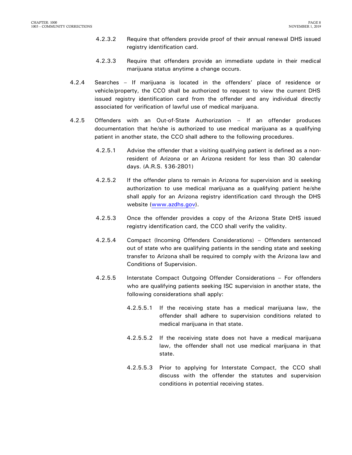- 4.2.3.2 Require that offenders provide proof of their annual renewal DHS issued registry identification card.
- 4.2.3.3 Require that offenders provide an immediate update in their medical marijuana status anytime a change occurs.
- 4.2.4 Searches If marijuana is located in the offenders' place of residence or vehicle/property, the CCO shall be authorized to request to view the current DHS issued registry identification card from the offender and any individual directly associated for verification of lawful use of medical marijuana.
- 4.2.5 Offenders with an Out-of-State Authorization If an offender produces documentation that he/she is authorized to use medical marijuana as a qualifying patient in another state, the CCO shall adhere to the following procedures.
	- 4.2.5.1 Advise the offender that a visiting qualifying patient is defined as a nonresident of Arizona or an Arizona resident for less than 30 calendar days. (A.R.S. §36-2801)
	- 4.2.5.2 If the offender plans to remain in Arizona for supervision and is seeking authorization to use medical marijuana as a qualifying patient he/she shall apply for an Arizona registry identification card through the DHS website [\(www.azdhs.gov\)](http://www.azdhs.gov/).
	- 4.2.5.3 Once the offender provides a copy of the Arizona State DHS issued registry identification card, the CCO shall verify the validity.
	- 4.2.5.4 Compact (Incoming Offenders Considerations) Offenders sentenced out of state who are qualifying patients in the sending state and seeking transfer to Arizona shall be required to comply with the Arizona law and Conditions of Supervision.
	- 4.2.5.5 Interstate Compact Outgoing Offender Considerations For offenders who are qualifying patients seeking ISC supervision in another state, the following considerations shall apply:
		- 4.2.5.5.1 If the receiving state has a medical marijuana law, the offender shall adhere to supervision conditions related to medical marijuana in that state.
		- 4.2.5.5.2 If the receiving state does not have a medical marijuana law, the offender shall not use medical marijuana in that state.
		- 4.2.5.5.3 Prior to applying for Interstate Compact, the CCO shall discuss with the offender the statutes and supervision conditions in potential receiving states.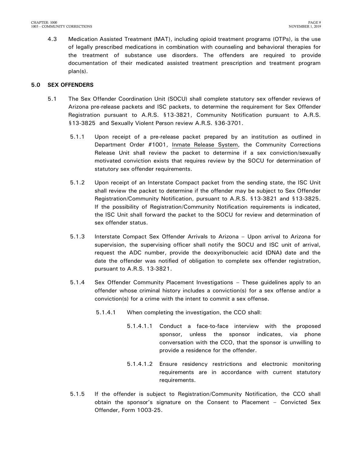4.3 Medication Assisted Treatment (MAT), including opioid treatment programs (OTPs), is the use of legally prescribed medications in combination with counseling and behavioral therapies for the treatment of substance use disorders. The offenders are required to provide documentation of their medicated assisted treatment prescription and treatment program plan(s).

### <span id="page-10-0"></span>**5.0 SEX OFFENDERS**

- 5.1 The Sex Offender Coordination Unit (SOCU) shall complete statutory sex offender reviews of Arizona pre-release packets and ISC packets, to determine the requirement for Sex Offender Registration pursuant to A.R.S. §13-3821, Community Notification pursuant to A.R.S. §13-3825 and Sexually Violent Person review A.R.S. §36-3701.
	- 5.1.1 Upon receipt of a pre-release packet prepared by an institution as outlined in Department Order #1001, Inmate Release System, the Community Corrections Release Unit shall review the packet to determine if a sex conviction/sexually motivated conviction exists that requires review by the SOCU for determination of statutory sex offender requirements.
	- 5.1.2 Upon receipt of an Interstate Compact packet from the sending state, the ISC Unit shall review the packet to determine if the offender may be subject to Sex Offender Registration/Community Notification, pursuant to A.R.S. §13-3821 and §13-3825. If the possibility of Registration/Community Notification requirements is indicated, the ISC Unit shall forward the packet to the SOCU for review and determination of sex offender status.
	- 5.1.3 Interstate Compact Sex Offender Arrivals to Arizona Upon arrival to Arizona for supervision, the supervising officer shall notify the SOCU and ISC unit of arrival, request the ADC number, provide the deoxyribonucleic acid **(**DNA**)** date and the date the offender was notified of obligation to complete sex offender registration, pursuant to A.R.S. 13-3821.
	- 5.1.4 Sex Offender Community Placement Investigations These guidelines apply to an offender whose criminal history includes a conviction(s) for a sex offense and/or a conviction(s) for a crime with the intent to commit a sex offense.
		- 5.1.4.1 When completing the investigation, the CCO shall:
			- 5.1.4.1.1 Conduct a face-to-face interview with the proposed sponsor, unless the sponsor indicates, via phone conversation with the CCO, that the sponsor is unwilling to provide a residence for the offender.
			- 5.1.4.1.2 Ensure residency restrictions and electronic monitoring requirements are in accordance with current statutory requirements.
	- 5.1.5 If the offender is subject to Registration/Community Notification, the CCO shall obtain the sponsor's signature on the Consent to Placement – Convicted Sex Offender, Form 1003-25.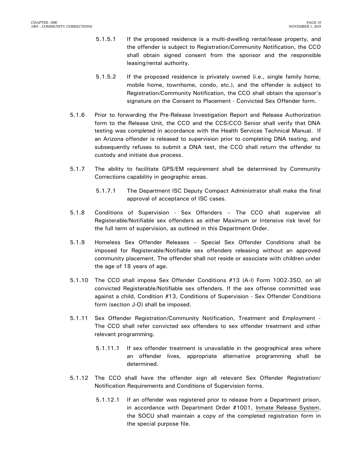- 5.1.5.1 If the proposed residence is a multi-dwelling rental/lease property, and the offender is subject to Registration/Community Notification, the CCO shall obtain signed consent from the sponsor and the responsible leasing/rental authority.
- 5.1.5.2 If the proposed residence is privately owned (i.e., single family home, mobile home, townhome, condo, etc.), and the offender is subject to Registration/Community Notification, the CCO shall obtain the sponsor's signature on the Consent to Placement - Convicted Sex Offender form.
- 5.1.6 Prior to forwarding the Pre-Release Investigation Report and Release Authorization form to the Release Unit, the CCO and the CCS/CCO Senior shall verify that DNA testing was completed in accordance with the Health Services Technical Manual. If an Arizona offender is released to supervision prior to completing DNA testing, and subsequently refuses to submit a DNA test, the CCO shall return the offender to custody and initiate due process.
- 5.1.7 The ability to facilitate GPS/EM requirement shall be determined by Community Corrections capability in geographic areas.
	- 5.1.7.1 The Department ISC Deputy Compact Administrator shall make the final approval of acceptance of ISC cases.
- 5.1.8 Conditions of Supervision Sex Offenders The CCO shall supervise all Registerable/Notifiable sex offenders as either Maximum or Intensive risk level for the full term of supervision, as outlined in this Department Order.
- 5.1.9 Homeless Sex Offender Releases Special Sex Offender Conditions shall be imposed for Registerable/Notifiable sex offenders releasing without an approved community placement. The offender shall not reside or associate with children under the age of 18 years of age.
- 5.1.10 The CCO shall impose Sex Offender Conditions #13 (A-I) Form 1002-3SO, on all convicted Registerable/Notifiable sex offenders. If the sex offense committed was against a child, Condition #13, Conditions of Supervision - Sex Offender Conditions form (section J-O) shall be imposed.
- 5.1.11 Sex Offender Registration/Community Notification, Treatment and Employment The CCO shall refer convicted sex offenders to sex offender treatment and other relevant programming.
	- 5.1.11.1 If sex offender treatment is unavailable in the geographical area where an offender lives, appropriate alternative programming shall be determined.
- 5.1.12 The CCO shall have the offender sign all relevant Sex Offender Registration/ Notification Requirements and Conditions of Supervision forms.
	- 5.1.12.1 If an offender was registered prior to release from a Department prison, in accordance with Department Order #1001, Inmate Release System, the SOCU shall maintain a copy of the completed registration form in the special purpose file.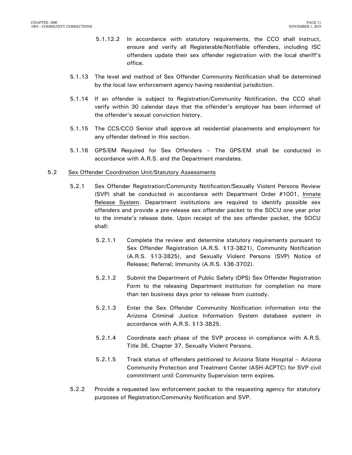- 5.1.12.2 In accordance with statutory requirements, the CCO shall instruct, ensure and verify all Registerable/Notifiable offenders, including ISC offenders update their sex offender registration with the local sheriff's office.
- 5.1.13 The level and method of Sex Offender Community Notification shall be determined by the local law enforcement agency having residential jurisdiction.
- 5.1.14 If an offender is subject to Registration/Community Notification, the CCO shall verify within 30 calendar days that the offender's employer has been informed of the offender's sexual conviction history.
- 5.1.15 The CCS/CCO Senior shall approve all residential placements and employment for any offender defined in this section.
- 5.1.16 GPS/EM Required for Sex Offenders The GPS/EM shall be conducted in accordance with A.R.S. and the Department mandates.

#### 5.2 Sex Offender Coordination Unit/Statutory Assessments

- 5.2.1 Sex Offender Registration/Community Notification/Sexually Violent Persons Review (SVP) shall be conducted in accordance with Department Order #1001, Inmate Release System. Department institutions are required to identify possible sex offenders and provide a pre-release sex offender packet to the SOCU one year prior to the inmate's release date. Upon receipt of the sex offender packet, the SOCU shall:
	- 5.2.1.1 Complete the review and determine statutory requirements pursuant to Sex Offender Registration (A.R.S. §13-3821), Community Notification (A.R.S. §13-3825), and Sexually Violent Persons (SVP) Notice of Release; Referral; Immunity (A.R.S. §36-3702).
	- 5.2.1.2 Submit the Department of Public Safety (DPS) Sex Offender Registration Form to the releasing Department institution for completion no more than ten business days prior to release from custody.
	- 5.2.1.3 Enter the Sex Offender Community Notification information into the Arizona Criminal Justice Information System database system in accordance with A.R.S. §13-3825.
	- 5.2.1.4 Coordinate each phase of the SVP process in compliance with A.R.S. Title 36, Chapter 37, Sexually Violent Persons.
	- 5.2.1.5 Track status of offenders petitioned to Arizona State Hospital Arizona Community Protection and Treatment Center (ASH-ACPTC) for SVP civil commitment until Community Supervision term expires.
- 5.2.2 Provide a requested law enforcement packet to the requesting agency for statutory purposes of Registration/Community Notification and SVP.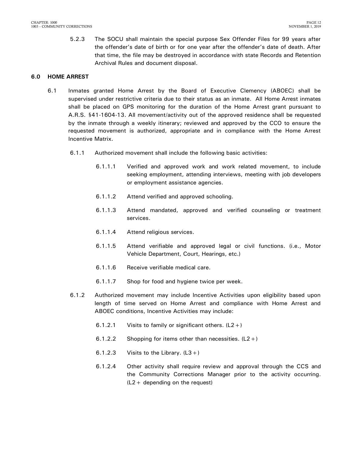5.2.3 The SOCU shall maintain the special purpose Sex Offender Files for 99 years after the offender's date of birth or for one year after the offender's date of death. After that time, the file may be destroyed in accordance with state Records and Retention Archival Rules and document disposal.

### <span id="page-13-0"></span>**6.0 HOME ARREST**

- 6.1 Inmates granted Home Arrest by the Board of Executive Clemency (ABOEC) shall be supervised under restrictive criteria due to their status as an inmate. All Home Arrest inmates shall be placed on GPS monitoring for the duration of the Home Arrest grant pursuant to A.R.S. §41-1604-13. All movement/activity out of the approved residence shall be requested by the inmate through a weekly itinerary; reviewed and approved by the CCO to ensure the requested movement is authorized, appropriate and in compliance with the Home Arrest Incentive Matrix.
	- 6.1.1 Authorized movement shall include the following basic activities:
		- 6.1.1.1 Verified and approved work and work related movement, to include seeking employment, attending interviews, meeting with job developers or employment assistance agencies.
		- 6.1.1.2 Attend verified and approved schooling.
		- 6.1.1.3 Attend mandated, approved and verified counseling or treatment services.
		- 6.1.1.4 Attend religious services.
		- 6.1.1.5 Attend verifiable and approved legal or civil functions. (i.e., Motor Vehicle Department, Court, Hearings, etc.)
		- 6.1.1.6 Receive verifiable medical care.
		- 6.1.1.7 Shop for food and hygiene twice per week.
	- 6.1.2 Authorized movement may include Incentive Activities upon eligibility based upon length of time served on Home Arrest and compliance with Home Arrest and ABOEC conditions, Incentive Activities may include:
		- 6.1.2.1 Visits to family or significant others.  $(L2+)$
		- 6.1.2.2 Shopping for items other than necessities.  $(L2+)$
		- 6.1.2.3 Visits to the Library.  $(L3+)$
		- 6.1.2.4 Other activity shall require review and approval through the CCS and the Community Corrections Manager prior to the activity occurring. (L2+ depending on the request)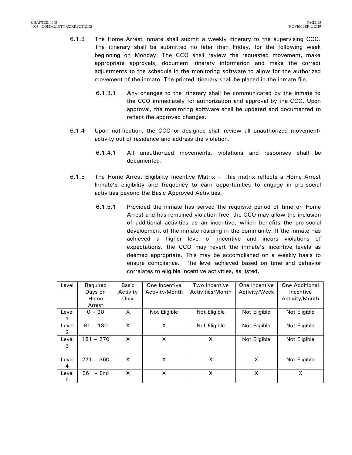- 6.1.3 The Home Arrest Inmate shall submit a weekly itinerary to the supervising CCO. The itinerary shall be submitted no later than Friday, for the following week beginning on Monday. The CCO shall review the requested movement, make appropriate approvals, document itinerary information and make the correct adjustments to the schedule in the monitoring software to allow for the authorized movement of the inmate. The printed itinerary shall be placed in the inmate file.
	- 6.1.3.1 Any changes to the itinerary shall be communicated by the inmate to the CCO immediately for authorization and approval by the CCO. Upon approval, the monitoring software shall be updated and documented to reflect the approved changes.
- 6.1.4 Upon notification, the CCO or designee shall review all unauthorized movement/ activity out of residence and address the violation.
	- 6.1.4.1 All unauthorized movements, violations and responses shall be documented.
- 6.1.5 The Home Arrest Eligibility Incentive Matrix This matrix reflects a Home Arrest Inmate's eligibility and frequency to earn opportunities to engage in pro-social activities beyond the Basic Approved Activities.
	- 6.1.5.1 Provided the inmate has served the requisite period of time on Home Arrest and has remained violation-free, the CCO may allow the inclusion of additional activities as an incentive, which benefits the pro-social development of the inmate residing in the community. If the inmate has achieved a higher level of incentive and incurs violations of expectations, the CCO may revert the inmate's incentive levels as deemed appropriate. This may be accomplished on a weekly basis to ensure compliance. The level achieved based on time and behavior correlates to eligible incentive activities, as listed.

| Level      | Required<br>Days on<br>Home<br>Arrest | Basic<br>Activity<br>Only | One Incentive<br>Activity/Month | Two Incentive<br>Activities/Month | One Incentive<br>Activity/Week | <b>One Additional</b><br>Incentive<br>Activity/Month |
|------------|---------------------------------------|---------------------------|---------------------------------|-----------------------------------|--------------------------------|------------------------------------------------------|
| Level      | $0 - 90$                              | X                         | Not Eligible                    | Not Eligible                      | Not Eligible                   | Not Eligible                                         |
| Level<br>2 | 91<br>- 180                           | X                         | X                               | Not Eligible                      | Not Eligible                   | Not Eligible                                         |
| Level<br>3 | $181 - 270$                           | X                         | X                               | X                                 | Not Eligible                   | Not Eligible                                         |
| Level<br>4 | $271 - 360$                           | X                         | X                               | X                                 | X                              | Not Eligible                                         |
| Level<br>5 | $361 -$ End                           | X                         | X                               | X                                 | X                              | X                                                    |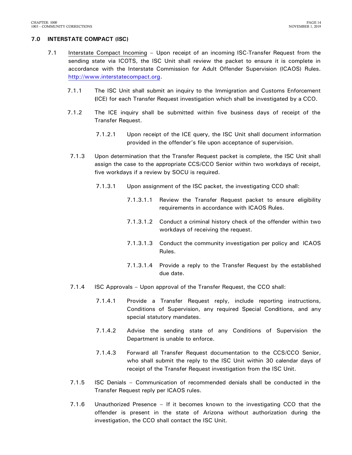### <span id="page-15-0"></span>**7.0 INTERSTATE COMPACT (ISC)**

- 7.1 Interstate Compact Incoming Upon receipt of an incoming ISC-Transfer Request from the sending state via ICOTS, the ISC Unit shall review the packet to ensure it is complete in accordance with the Interstate Commission for Adult Offender Supervision (ICAOS) Rules. [http://www.interstatecompact.org.](http://www.interstatecompact.org/)
	- 7.1.1 The ISC Unit shall submit an inquiry to the Immigration and Customs Enforcement **(**ICE) for each Transfer Request investigation which shall be investigated by a CCO.
	- 7.1.2 The ICE inquiry shall be submitted within five business days of receipt of the Transfer Request.
		- 7.1.2.1 Upon receipt of the ICE query, the ISC Unit shall document information provided in the offender's file upon acceptance of supervision.
	- 7.1.3 Upon determination that the Transfer Request packet is complete, the ISC Unit shall assign the case to the appropriate CCS/CCO Senior within two workdays of receipt, five workdays if a review by SOCU is required.
		- 7.1.3.1 Upon assignment of the ISC packet, the investigating CCO shall:
			- 7.1.3.1.1 Review the Transfer Request packet to ensure eligibility requirements in accordance with ICAOS Rules.
			- 7.1.3.1.2 Conduct a criminal history check of the offender within two workdays of receiving the request.
			- 7.1.3.1.3 Conduct the community investigation per policy and ICAOS Rules.
			- 7.1.3.1.4 Provide a reply to the Transfer Request by the established due date.
	- 7.1.4 ISC Approvals Upon approval of the Transfer Request, the CCO shall:
		- 7.1.4.1 Provide a Transfer Request reply, include reporting instructions, Conditions of Supervision, any required Special Conditions, and any special statutory mandates.
		- 7.1.4.2 Advise the sending state of any Conditions of Supervision the Department is unable to enforce.
		- 7.1.4.3 Forward all Transfer Request documentation to the CCS/CCO Senior, who shall submit the reply to the ISC Unit within 30 calendar days of receipt of the Transfer Request investigation from the ISC Unit.
	- 7.1.5 ISC Denials Communication of recommended denials shall be conducted in the Transfer Request reply per ICAOS rules.
	- 7.1.6 Unauthorized Presence If it becomes known to the investigating CCO that the offender is present in the state of Arizona without authorization during the investigation, the CCO shall contact the ISC Unit.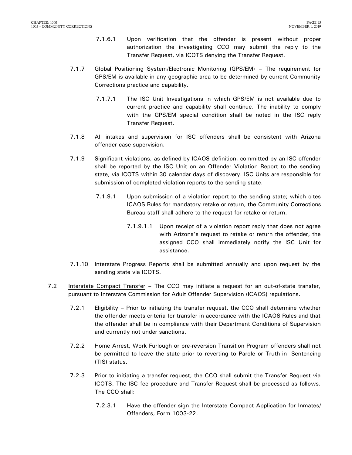- 7.1.6.1 Upon verification that the offender is present without proper authorization the investigating CCO may submit the reply to the Transfer Request, via ICOTS denying the Transfer Request.
- 7.1.7 Global Positioning System/Electronic Monitoring (GPS/EM) The requirement for GPS/EM is available in any geographic area to be determined by current Community Corrections practice and capability.
	- 7.1.7.1 The ISC Unit Investigations in which GPS/EM is not available due to current practice and capability shall continue. The inability to comply with the GPS/EM special condition shall be noted in the ISC reply Transfer Request.
- 7.1.8 All intakes and supervision for ISC offenders shall be consistent with Arizona offender case supervision.
- 7.1.9 Significant violations, as defined by ICAOS definition, committed by an ISC offender shall be reported by the ISC Unit on an Offender Violation Report to the sending state, via ICOTS within 30 calendar days of discovery. ISC Units are responsible for submission of completed violation reports to the sending state.
	- 7.1.9.1 Upon submission of a violation report to the sending state; which cites ICAOS Rules for mandatory retake or return, the Community Corrections Bureau staff shall adhere to the request for retake or return.
		- 7.1.9.1.1 Upon receipt of a violation report reply that does not agree with Arizona's request to retake or return the offender, the assigned CCO shall immediately notify the ISC Unit for assistance.
- 7.1.10 Interstate Progress Reports shall be submitted annually and upon request by the sending state via ICOTS.
- 7.2 Interstate Compact Transfer The CCO may initiate a request for an out-of-state transfer, pursuant to Interstate Commission for Adult Offender Supervision (ICAOS) regulations.
	- 7.2.1 Eligibility Prior to initiating the transfer request, the CCO shall determine whether the offender meets criteria for transfer in accordance with the ICAOS Rules and that the offender shall be in compliance with their Department Conditions of Supervision and currently not under sanctions.
	- 7.2.2 Home Arrest, Work Furlough or pre-reversion Transition Program offenders shall not be permitted to leave the state prior to reverting to Parole or Truth-in- Sentencing (TIS) status.
	- 7.2.3 Prior to initiating a transfer request, the CCO shall submit the Transfer Request via ICOTS. The ISC fee procedure and Transfer Request shall be processed as follows. The CCO shall:
		- 7.2.3.1 Have the offender sign the Interstate Compact Application for Inmates/ Offenders, Form 1003-22.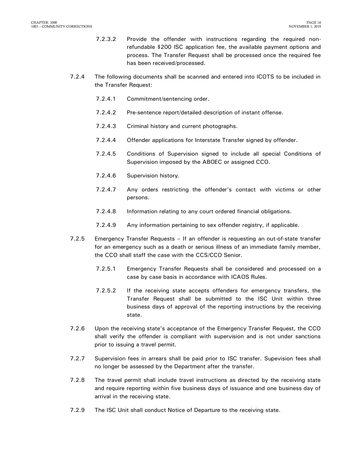- 7.2.3.2 Provide the offender with instructions regarding the required nonrefundable \$200 ISC application fee, the available payment options and process. The Transfer Request shall be processed once the required fee has been received/processed.
- 7.2.4 The following documents shall be scanned and entered into ICOTS to be included in the Transfer Request:
	- 7.2.4.1 Commitment/sentencing order.
	- 7.2.4.2 Pre-sentence report/detailed description of instant offense.
	- 7.2.4.3 Criminal history and current photographs.
	- 7.2.4.4 Offender applications for Interstate Transfer signed by offender.
	- 7.2.4.5 Conditions of Supervision signed to include all special Conditions of Supervision imposed by the ABOEC or assigned CCO.
	- 7.2.4.6 Supervision history.
	- 7.2.4.7 Any orders restricting the offender's contact with victims or other persons.
	- 7.2.4.8 Information relating to any court ordered financial obligations.
	- 7.2.4.9 Any information pertaining to sex offender registry, if applicable.
- 7.2.5 Emergency Transfer Requests If an offender is requesting an out-of-state transfer for an emergency such as a death or serious illness of an immediate family member, the CCO shall staff the case with the CCS/CCO Senior.
	- 7.2.5.1 Emergency Transfer Requests shall be considered and processed on a case by case basis in accordance with ICAOS Rules.
	- 7.2.5.2 If the receiving state accepts offenders for emergency transfers, the Transfer Request shall be submitted to the ISC Unit within three business days of approval of the reporting instructions by the receiving state.
- 7.2.6 Upon the receiving state's acceptance of the Emergency Transfer Request, the CCO shall verify the offender is compliant with supervision and is not under sanctions prior to issuing a travel permit.
- 7.2.7 Supervision fees in arrears shall be paid prior to ISC transfer. Supevision fees shall no longer be assessed by the Department after the transfer.
- 7.2.8 The travel permit shall include travel instructions as directed by the receiving state and require reporting within five business days of issuance and one business day of arrival in the receiving state.
- 7.2.9 The ISC Unit shall conduct Notice of Departure to the receiving state.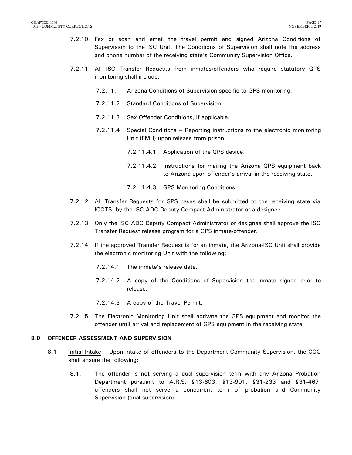- 7.2.10 Fax or scan and email the travel permit and signed Arizona Conditions of Supervision to the ISC Unit. The Conditions of Supervision shall note the address and phone number of the receiving state's Community Supervision Office.
- 7.2.11 All ISC Transfer Requests from inmates/offenders who require statutory GPS monitoring shall include:
	- 7.2.11.1 Arizona Conditions of Supervision specific to GPS monitoring.
	- 7.2.11.2 Standard Conditions of Supervision.
	- 7.2.11.3 Sex Offender Conditions, if applicable.
	- 7.2.11.4 Special Conditions Reporting instructions to the electronic monitoring Unit (EMU) upon release from prison.
		- 7.2.11.4.1 Application of the GPS device.
		- 7.2.11.4.2 Instructions for mailing the Arizona GPS equipment back to Arizona upon offender's arrival in the receiving state.
		- 7.2.11.4.3 GPS Monitoring Conditions.
- 7.2.12 All Transfer Requests for GPS cases shall be submitted to the receiving state via ICOTS, by the ISC ADC Deputy Compact Administrator or a designee.
- 7.2.13 Only the ISC ADC Deputy Compact Administrator or designee shall approve the ISC Transfer Request release program for a GPS inmate/offender.
- 7.2.14 If the approved Transfer Request is for an inmate, the Arizona-ISC Unit shall provide the electronic monitoring Unit with the following:
	- 7.2.14.1 The inmate's release date.
	- 7.2.14.2 A copy of the Conditions of Supervision the inmate signed prior to release.
	- 7.2.14.3 A copy of the Travel Permit.
- 7.2.15 The Electronic Monitoring Unit shall activate the GPS equipment and monitor the offender until arrival and replacement of GPS equipment in the receiving state.

### <span id="page-18-0"></span>**8.0 OFFENDER ASSESSMENT AND SUPERVISION**

- 8.1 Initial Intake Upon intake of offenders to the Department Community Supervision, the CCO shall ensure the following:
	- 8.1.1 The offender is not serving a dual supervision term with any Arizona Probation Department pursuant to A.R.S. §13-603, §13-901, §31-233 and §31-467, offenders shall not serve a concurrent term of probation and Community Supervision (dual supervision).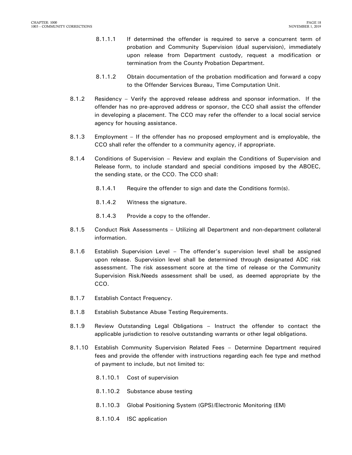- 8.1.1.1 If determined the offender is required to serve a concurrent term of probation and Community Supervision (dual supervision), immediately upon release from Department custody, request a modification or termination from the County Probation Department.
- 8.1.1.2 Obtain documentation of the probation modification and forward a copy to the Offender Services Bureau, Time Computation Unit.
- 8.1.2 Residency Verify the approved release address and sponsor information. If the offender has no pre-approved address or sponsor, the CCO shall assist the offender in developing a placement. The CCO may refer the offender to a local social service agency for housing assistance.
- 8.1.3 Employment If the offender has no proposed employment and is employable, the CCO shall refer the offender to a community agency, if appropriate.
- 8.1.4 Conditions of Supervision Review and explain the Conditions of Supervision and Release form, to include standard and special conditions imposed by the ABOEC, the sending state, or the CCO. The CCO shall:
	- 8.1.4.1 Require the offender to sign and date the Conditions form(s).
	- 8.1.4.2 Witness the signature.
	- 8.1.4.3 Provide a copy to the offender.
- 8.1.5 Conduct Risk Assessments Utilizing all Department and non-department collateral information.
- 8.1.6 Establish Supervision Level The offender's supervision level shall be assigned upon release. Supervision level shall be determined through designated ADC risk assessment. The risk assessment score at the time of release or the Community Supervision Risk/Needs assessment shall be used, as deemed appropriate by the CCO.
- 8.1.7 Establish Contact Frequency.
- 8.1.8 Establish Substance Abuse Testing Requirements.
- 8.1.9 Review Outstanding Legal Obligations Instruct the offender to contact the applicable jurisdiction to resolve outstanding warrants or other legal obligations.
- 8.1.10 Establish Community Supervision Related Fees Determine Department required fees and provide the offender with instructions regarding each fee type and method of payment to include, but not limited to:
	- 8.1.10.1 Cost of supervision
	- 8.1.10.2 Substance abuse testing
	- 8.1.10.3 Global Positioning System (GPS)/Electronic Monitoring (EM)
	- 8.1.10.4 ISC application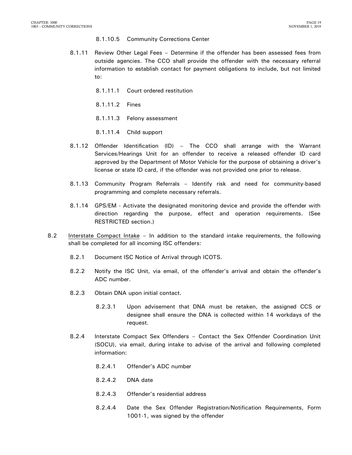#### 8.1.10.5 Community Corrections Center

- 8.1.11 Review Other Legal Fees Determine if the offender has been assessed fees from outside agencies. The CCO shall provide the offender with the necessary referral information to establish contact for payment obligations to include, but not limited to:
	- 8.1.11.1 Court ordered restitution
	- 8.1.11.2 Fines
	- 8.1.11.3 Felony assessment
	- 8.1.11.4 Child support
- 8.1.12 Offender Identification (ID) The CCO shall arrange with the Warrant Services/Hearings Unit for an offender to receive a released offender ID card approved by the Department of Motor Vehicle for the purpose of obtaining a driver's license or state ID card, if the offender was not provided one prior to release.
- 8.1.13 Community Program Referrals Identify risk and need for community-based programming and complete necessary referrals.
- 8.1.14 GPS/EM Activate the designated monitoring device and provide the offender with direction regarding the purpose, effect and operation requirements. (See RESTRICTED section.)
- 8.2 Interstate Compact Intake In addition to the standard intake requirements, the following shall be completed for all incoming ISC offenders:
	- 8.2.1 Document ISC Notice of Arrival through ICOTS.
	- 8.2.2 Notify the ISC Unit, via email, of the offender's arrival and obtain the offender's ADC number.
	- 8.2.3 Obtain DNA upon initial contact.
		- 8.2.3.1 Upon advisement that DNA must be retaken, the assigned CCS or designee shall ensure the DNA is collected within 14 workdays of the request.
	- 8.2.4 Interstate Compact Sex Offenders Contact the Sex Offender Coordination Unit (SOCU), via email, during intake to advise of the arrival and following completed information:
		- 8.2.4.1 Offender's ADC number
		- 8.2.4.2 DNA date
		- 8.2.4.3 Offender's residential address
		- 8.2.4.4 Date the Sex Offender Registration/Notification Requirements, Form 1001-1, was signed by the offender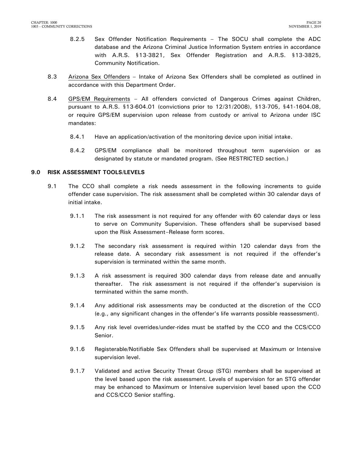- 8.2.5 Sex Offender Notification Requirements The SOCU shall complete the ADC database and the Arizona Criminal Justice Information System entries in accordance with A.R.S. §13-3821, Sex Offender Registration and A.R.S. §13-3825, Community Notification.
- 8.3 Arizona Sex Offenders Intake of Arizona Sex Offenders shall be completed as outlined in accordance with this Department Order.
- 8.4 GPS/EM Requirements All offenders convicted of Dangerous Crimes against Children, pursuant to A.R.S. §13-604.01 (convictions prior to 12/31/2008), §13-705, §41-1604.08, or require GPS/EM supervision upon release from custody or arrival to Arizona under ISC mandates:
	- 8.4.1 Have an application/activation of the monitoring device upon initial intake.
	- 8.4.2 GPS/EM compliance shall be monitored throughout term supervision or as designated by statute or mandated program. (See RESTRICTED section.)

#### <span id="page-21-0"></span>**9.0 RISK ASSESSMENT TOOLS/LEVELS**

- 9.1 The CCO shall complete a risk needs assessment in the following increments to guide offender case supervision. The risk assessment shall be completed within 30 calendar days of initial intake.
	- 9.1.1 The risk assessment is not required for any offender with 60 calendar days or less to serve on Community Supervision. These offenders shall be supervised based upon the Risk Assessment–Release form scores.
	- 9.1.2 The secondary risk assessment is required within 120 calendar days from the release date. A secondary risk assessment is not required if the offender's supervision is terminated within the same month.
	- 9.1.3 A risk assessment is required 300 calendar days from release date and annually thereafter. The risk assessment is not required if the offender's supervision is terminated within the same month.
	- 9.1.4 Any additional risk assessments may be conducted at the discretion of the CCO (e.g., any significant changes in the offender's life warrants possible reassessment).
	- 9.1.5 Any risk level overrides/under-rides must be staffed by the CCO and the CCS/CCO Senior.
	- 9.1.6 Registerable/Notifiable Sex Offenders shall be supervised at Maximum or Intensive supervision level.
	- 9.1.7 Validated and active Security Threat Group (STG) members shall be supervised at the level based upon the risk assessment. Levels of supervision for an STG offender may be enhanced to Maximum or Intensive supervision level based upon the CCO and CCS/CCO Senior staffing.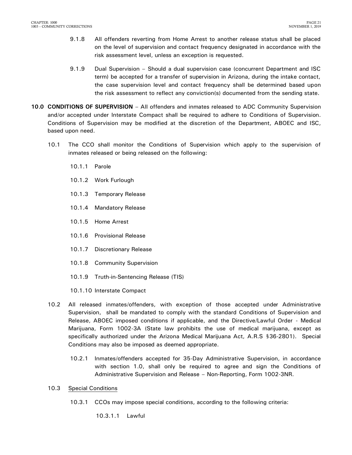- 9.1.8 All offenders reverting from Home Arrest to another release status shall be placed on the level of supervision and contact frequency designated in accordance with the risk assessment level, unless an exception is requested.
- 9.1.9 Dual Supervision Should a dual supervision case (concurrent Department and ISC term) be accepted for a transfer of supervision in Arizona, during the intake contact, the case supervision level and contact frequency shall be determined based upon the risk assessment to reflect any conviction(s) documented from the sending state.
- <span id="page-22-0"></span>**10.0 CONDITIONS OF SUPERVISION** – All offenders and inmates released to ADC Community Supervision and/or accepted under Interstate Compact shall be required to adhere to Conditions of Supervision. Conditions of Supervision may be modified at the discretion of the Department, ABOEC and ISC, based upon need.
	- 10.1 The CCO shall monitor the Conditions of Supervision which apply to the supervision of inmates released or being released on the following:
		- 10.1.1 Parole
		- 10.1.2 Work Furlough
		- 10.1.3 Temporary Release
		- 10.1.4 Mandatory Release
		- 10.1.5 Home Arrest
		- 10.1.6 Provisional Release
		- 10.1.7 Discretionary Release
		- 10.1.8 Community Supervision
		- 10.1.9 Truth-in-Sentencing Release (TIS)
		- 10.1.10 Interstate Compact
	- 10.2 All released inmates/offenders, with exception of those accepted under Administrative Supervision, shall be mandated to comply with the standard Conditions of Supervision and Release, ABOEC imposed conditions if applicable, and the Directive/Lawful Order - Medical Marijuana, Form 1002-3A (State law prohibits the use of medical marijuana, except as specifically authorized under the Arizona Medical Marijuana Act, A.R.S §36-2801). Special Conditions may also be imposed as deemed appropriate.
		- 10.2.1 Inmates/offenders accepted for 35-Day Administrative Supervision, in accordance with section 1.0, shall only be required to agree and sign the Conditions of Administrative Supervision and Release – Non-Reporting, Form 1002-3NR.
	- 10.3 Special Conditions
		- 10.3.1 CCOs may impose special conditions, according to the following criteria:

10.3.1.1 Lawful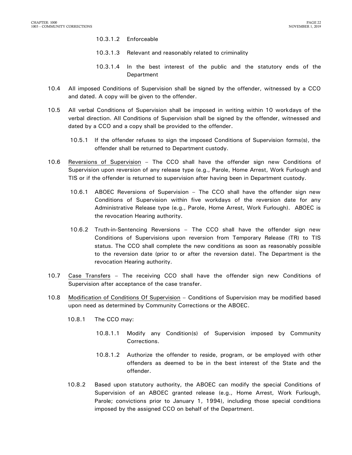- 10.3.1.2 Enforceable
- 10.3.1.3 Relevant and reasonably related to criminality
- 10.3.1.4 In the best interest of the public and the statutory ends of the Department
- 10.4 All imposed Conditions of Supervision shall be signed by the offender, witnessed by a CCO and dated. A copy will be given to the offender.
- 10.5 All verbal Conditions of Supervision shall be imposed in writing within 10 workdays of the verbal direction. All Conditions of Supervision shall be signed by the offender, witnessed and dated by a CCO and a copy shall be provided to the offender.
	- 10.5.1 If the offender refuses to sign the imposed Conditions of Supervision forms(s), the offender shall be returned to Department custody.
- 10.6 Reversions of Supervision The CCO shall have the offender sign new Conditions of Supervision upon reversion of any release type (e.g., Parole, Home Arrest, Work Furlough and TIS or if the offender is returned to supervision after having been in Department custody.
	- 10.6.1 ABOEC Reversions of Supervision The CCO shall have the offender sign new Conditions of Supervision within five workdays of the reversion date for any Administrative Release type (e.g., Parole, Home Arrest, Work Furlough). ABOEC is the revocation Hearing authority.
	- 10.6.2 Truth-in-Sentencing Reversions The CCO shall have the offender sign new Conditions of Supervisions upon reversion from Temporary Release (TR) to TIS status. The CCO shall complete the new conditions as soon as reasonably possible to the reversion date (prior to or after the reversion date). The Department is the revocation Hearing authority.
- 10.7 Case Transfers The receiving CCO shall have the offender sign new Conditions of Supervision after acceptance of the case transfer.
- 10.8 Modification of Conditions Of Supervision Conditions of Supervision may be modified based upon need as determined by Community Corrections or the ABOEC.
	- 10.8.1 The CCO may:
		- 10.8.1.1 Modify any Condition(s) of Supervision imposed by Community Corrections.
		- 10.8.1.2 Authorize the offender to reside, program, or be employed with other offenders as deemed to be in the best interest of the State and the offender.
	- 10.8.2 Based upon statutory authority, the ABOEC can modify the special Conditions of Supervision of an ABOEC granted release (e.g., Home Arrest, Work Furlough, Parole; convictions prior to January 1, 1994), including those special conditions imposed by the assigned CCO on behalf of the Department.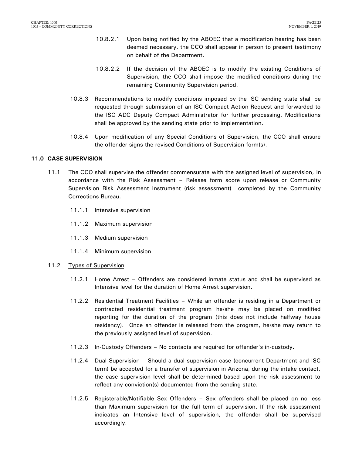- 10.8.2.1 Upon being notified by the ABOEC that a modification hearing has been deemed necessary, the CCO shall appear in person to present testimony on behalf of the Department.
- 10.8.2.2 If the decision of the ABOEC is to modify the existing Conditions of Supervision, the CCO shall impose the modified conditions during the remaining Community Supervision period.
- 10.8.3 Recommendations to modify conditions imposed by the ISC sending state shall be requested through submission of an ISC Compact Action Request and forwarded to the ISC ADC Deputy Compact Administrator for further processing. Modifications shall be approved by the sending state prior to implementation.
- 10.8.4 Upon modification of any Special Conditions of Supervision, the CCO shall ensure the offender signs the revised Conditions of Supervision form(s).

### <span id="page-24-0"></span>**11.0 CASE SUPERVISION**

- 11.1 The CCO shall supervise the offender commensurate with the assigned level of supervision, in accordance with the Risk Assessment – Release form score upon release or Community Supervision Risk Assessment Instrument (risk assessment) completed by the Community Corrections Bureau.
	- 11.1.1 Intensive supervision
	- 11.1.2 Maximum supervision
	- 11.1.3 Medium supervision
	- 11.1.4 Minimum supervision
- 11.2 Types of Supervision
	- 11.2.1 Home Arrest Offenders are considered inmate status and shall be supervised as Intensive level for the duration of Home Arrest supervision.
	- 11.2.2 Residential Treatment Facilities While an offender is residing in a Department or contracted residential treatment program he/she may be placed on modified reporting for the duration of the program (this does not include halfway house residency). Once an offender is released from the program, he/she may return to the previously assigned level of supervision.
	- 11.2.3 In-Custody Offenders No contacts are required for offender's in-custody.
	- 11.2.4 Dual Supervision Should a dual supervision case (concurrent Department and ISC term) be accepted for a transfer of supervision in Arizona, during the intake contact, the case supervision level shall be determined based upon the risk assessment to reflect any conviction(s) documented from the sending state.
	- 11.2.5 Registerable/Notifiable Sex Offenders Sex offenders shall be placed on no less than Maximum supervision for the full term of supervision. If the risk assessment indicates an Intensive level of supervision, the offender shall be supervised accordingly.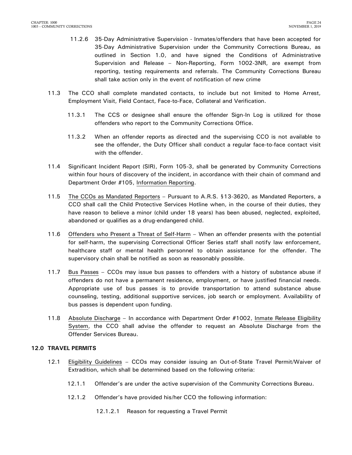- 11.2.6 35-Day Administrative Supervision Inmates/offenders that have been accepted for 35-Day Administrative Supervision under the Community Corrections Bureau, as outlined in Section 1.0, and have signed the Conditions of Administrative Supervision and Release – Non-Reporting, Form 1002-3NR, are exempt from reporting, testing requirements and referrals. The Community Corrections Bureau shall take action only in the event of notification of new crime
- 11.3 The CCO shall complete mandated contacts, to include but not limited to Home Arrest, Employment Visit, Field Contact, Face-to-Face, Collateral and Verification.
	- 11.3.1 The CCS or designee shall ensure the offender Sign-In Log is utilized for those offenders who report to the Community Corrections Office.
	- 11.3.2 When an offender reports as directed and the supervising CCO is not available to see the offender, the Duty Officer shall conduct a regular face-to-face contact visit with the offender.
- 11.4 Significant Incident Report (SIR), Form 105-3, shall be generated by Community Corrections within four hours of discovery of the incident, in accordance with their chain of command and Department Order #105, Information Reporting.
- 11.5 The CCOs as Mandated Reporters Pursuant to A.R.S. §13-3620, as Mandated Reporters, a CCO shall call the Child Protective Services Hotline when, in the course of their duties, they have reason to believe a minor (child under 18 years) has been abused, neglected, exploited, abandoned or qualifies as a drug-endangered child.
- 11.6 Offenders who Present a Threat of Self-Harm When an offender presents with the potential for self-harm, the supervising Correctional Officer Series staff shall notify law enforcement, healthcare staff or mental health personnel to obtain assistance for the offender. The supervisory chain shall be notified as soon as reasonably possible.
- 11.7 Bus Passes CCOs may issue bus passes to offenders with a history of substance abuse if offenders do not have a permanent residence, employment, or have justified financial needs. Appropriate use of bus passes is to provide transportation to attend substance abuse counseling, testing, additional supportive services, job search or employment. Availability of bus passes is dependent upon funding.
- 11.8 Absolute Discharge In accordance with Department Order #1002, Inmate Release Eligibility System, the CCO shall advise the offender to request an Absolute Discharge from the Offender Services Bureau.

### <span id="page-25-0"></span>**12.0 TRAVEL PERMITS**

- 12.1 Eligibility Guidelines CCOs may consider issuing an Out-of-State Travel Permit/Waiver of Extradition, which shall be determined based on the following criteria:
	- 12.1.1 Offender's are under the active supervision of the Community Corrections Bureau.
	- 12.1.2 Offender's have provided his/her CCO the following information:
		- 12.1.2.1 Reason for requesting a Travel Permit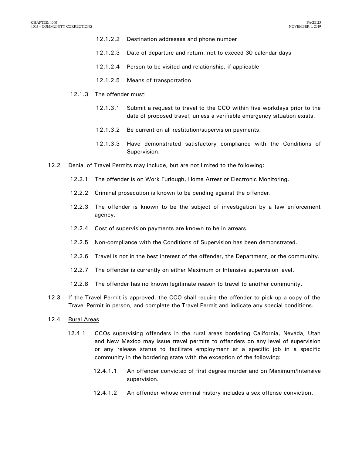- 12.1.2.2 Destination addresses and phone number
- 12.1.2.3 Date of departure and return, not to exceed 30 calendar days
- 12.1.2.4 Person to be visited and relationship, if applicable
- 12.1.2.5 Means of transportation
- 12.1.3 The offender must:
	- 12.1.3.1 Submit a request to travel to the CCO within five workdays prior to the date of proposed travel, unless a verifiable emergency situation exists.
	- 12.1.3.2 Be current on all restitution/supervision payments.
	- 12.1.3.3 Have demonstrated satisfactory compliance with the Conditions of Supervision.
- 12.2 Denial of Travel Permits may include, but are not limited to the following:
	- 12.2.1 The offender is on Work Furlough, Home Arrest or Electronic Monitoring.
	- 12.2.2 Criminal prosecution is known to be pending against the offender.
	- 12.2.3 The offender is known to be the subject of investigation by a law enforcement agency.
	- 12.2.4 Cost of supervision payments are known to be in arrears.
	- 12.2.5 Non-compliance with the Conditions of Supervision has been demonstrated.
	- 12.2.6 Travel is not in the best interest of the offender, the Department, or the community.
	- 12.2.7 The offender is currently on either Maximum or Intensive supervision level.
	- 12.2.8 The offender has no known legitimate reason to travel to another community.
- 12.3 If the Travel Permit is approved, the CCO shall require the offender to pick up a copy of the Travel Permit in person, and complete the Travel Permit and indicate any special conditions.
- 12.4 Rural Areas
	- 12.4.1 CCOs supervising offenders in the rural areas bordering California, Nevada, Utah and New Mexico may issue travel permits to offenders on any level of supervision or any release status to facilitate employment at a specific job in a specific community in the bordering state with the exception of the following:
		- 12.4.1.1 An offender convicted of first degree murder and on Maximum/Intensive supervision.
		- 12.4.1.2 An offender whose criminal history includes a sex offense conviction.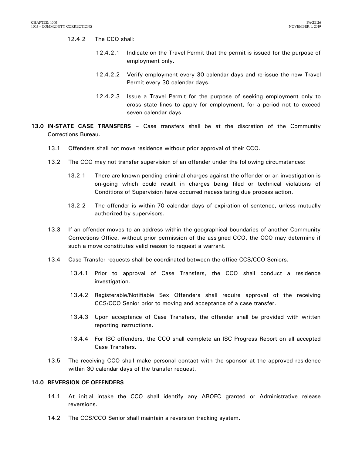### 12.4.2 The CCO shall:

- 12.4.2.1 Indicate on the Travel Permit that the permit is issued for the purpose of employment only.
- 12.4.2.2 Verify employment every 30 calendar days and re-issue the new Travel Permit every 30 calendar days.
- 12.4.2.3 Issue a Travel Permit for the purpose of seeking employment only to cross state lines to apply for employment, for a period not to exceed seven calendar days.
- <span id="page-27-0"></span>**13.0 IN-STATE CASE TRANSFERS** – Case transfers shall be at the discretion of the Community Corrections Bureau.
	- 13.1 Offenders shall not move residence without prior approval of their CCO.
	- 13.2 The CCO may not transfer supervision of an offender under the following circumstances:
		- 13.2.1 There are known pending criminal charges against the offender or an investigation is on-going which could result in charges being filed or technical violations of Conditions of Supervision have occurred necessitating due process action.
		- 13.2.2 The offender is within 70 calendar days of expiration of sentence, unless mutually authorized by supervisors.
	- 13.3 If an offender moves to an address within the geographical boundaries of another Community Corrections Office, without prior permission of the assigned CCO, the CCO may determine if such a move constitutes valid reason to request a warrant.
	- 13.4 Case Transfer requests shall be coordinated between the office CCS/CCO Seniors.
		- 13.4.1 Prior to approval of Case Transfers, the CCO shall conduct a residence investigation.
		- 13.4.2 Registerable/Notifiable Sex Offenders shall require approval of the receiving CCS/CCO Senior prior to moving and acceptance of a case transfer.
		- 13.4.3 Upon acceptance of Case Transfers, the offender shall be provided with written reporting instructions.
		- 13.4.4 For ISC offenders, the CCO shall complete an ISC Progress Report on all accepted Case Transfers.
	- 13.5 The receiving CCO shall make personal contact with the sponsor at the approved residence within 30 calendar days of the transfer request.

#### <span id="page-27-1"></span>**14.0 REVERSION OF OFFENDERS**

- 14.1 At initial intake the CCO shall identify any ABOEC granted or Administrative release reversions.
- 14.2 The CCS/CCO Senior shall maintain a reversion tracking system.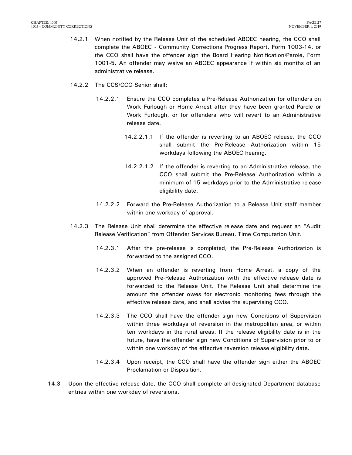- 14.2.1 When notified by the Release Unit of the scheduled ABOEC hearing, the CCO shall complete the ABOEC - Community Corrections Progress Report, Form 1003-14, or the CCO shall have the offender sign the Board Hearing Notification/Parole, Form 1001-5. An offender may waive an ABOEC appearance if within six months of an administrative release.
- 14.2.2 The CCS/CCO Senior shall:
	- 14.2.2.1 Ensure the CCO completes a Pre-Release Authorization for offenders on Work Furlough or Home Arrest after they have been granted Parole or Work Furlough, or for offenders who will revert to an Administrative release date.
		- 14.2.2.1.1 If the offender is reverting to an ABOEC release, the CCO shall submit the Pre-Release Authorization within 15 workdays following the ABOEC hearing.
		- 14.2.2.1.2 If the offender is reverting to an Administrative release, the CCO shall submit the Pre-Release Authorization within a minimum of 15 workdays prior to the Administrative release eligibility date.
	- 14.2.2.2 Forward the Pre-Release Authorization to a Release Unit staff member within one workday of approval.
- 14.2.3 The Release Unit shall determine the effective release date and request an "Audit Release Verification" from Offender Services Bureau, Time Computation Unit.
	- 14.2.3.1 After the pre-release is completed, the Pre-Release Authorization is forwarded to the assigned CCO.
	- 14.2.3.2 When an offender is reverting from Home Arrest, a copy of the approved Pre-Release Authorization with the effective release date is forwarded to the Release Unit. The Release Unit shall determine the amount the offender owes for electronic monitoring fees through the effective release date, and shall advise the supervising CCO.
	- 14.2.3.3 The CCO shall have the offender sign new Conditions of Supervision within three workdays of reversion in the metropolitan area, or within ten workdays in the rural areas. If the release eligibility date is in the future, have the offender sign new Conditions of Supervision prior to or within one workday of the effective reversion release eligibility date.
	- 14.2.3.4 Upon receipt, the CCO shall have the offender sign either the ABOEC Proclamation or Disposition.
- 14.3 Upon the effective release date, the CCO shall complete all designated Department database entries within one workday of reversions.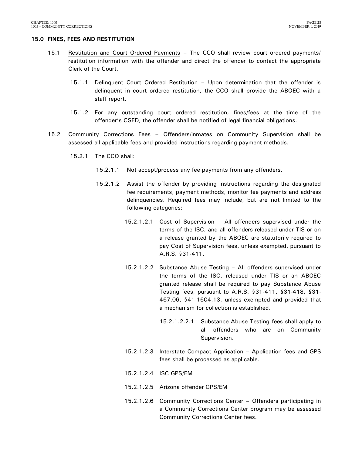#### <span id="page-29-0"></span>**15.0 FINES, FEES AND RESTITUTION**

- 15.1 Restitution and Court Ordered Payments The CCO shall review court ordered payments/ restitution information with the offender and direct the offender to contact the appropriate Clerk of the Court.
	- 15.1.1 Delinquent Court Ordered Restitution Upon determination that the offender is delinquent in court ordered restitution, the CCO shall provide the ABOEC with a staff report.
	- 15.1.2 For any outstanding court ordered restitution, fines/fees at the time of the offender's CSED, the offender shall be notified of legal financial obligations.
- 15.2 Community Corrections Fees Offenders/inmates on Community Supervision shall be assessed all applicable fees and provided instructions regarding payment methods.
	- 15.2.1 The CCO shall:
		- 15.2.1.1 Not accept/process any fee payments from any offenders.
		- 15.2.1.2 Assist the offender by providing instructions regarding the designated fee requirements, payment methods, monitor fee payments and address delinquencies. Required fees may include, but are not limited to the following categories:
			- 15.2.1.2.1 Cost of Supervision All offenders supervised under the terms of the ISC, and all offenders released under TIS or on a release granted by the ABOEC are statutorily required to pay Cost of Supervision fees, unless exempted, pursuant to A.R.S. §31-411.
			- 15.2.1.2.2 Substance Abuse Testing All offenders supervised under the terms of the ISC, released under TIS or an ABOEC granted release shall be required to pay Substance Abuse Testing fees, pursuant to A.R.S. §31-411, §31-418, §31- 467.06, §41-1604.13, unless exempted and provided that a mechanism for collection is established.
				- 15.2.1.2.2.1 Substance Abuse Testing fees shall apply to all offenders who are on Community Supervision.
			- 15.2.1.2.3 Interstate Compact Application Application fees and GPS fees shall be processed as applicable.
			- 15.2.1.2.4 ISC GPS/EM
			- 15.2.1.2.5 Arizona offender GPS/EM
			- 15.2.1.2.6 Community Corrections Center Offenders participating in a Community Corrections Center program may be assessed Community Corrections Center fees.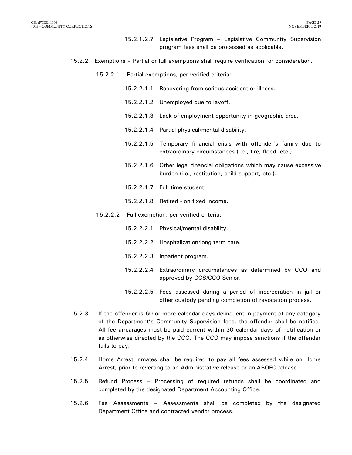- 15.2.1.2.7 Legislative Program Legislative Community Supervision program fees shall be processed as applicable.
- 15.2.2 Exemptions Partial or full exemptions shall require verification for consideration.
	- 15.2.2.1 Partial exemptions, per verified criteria:
		- 15.2.2.1.1 Recovering from serious accident or illness.
		- 15.2.2.1.2 Unemployed due to layoff.
		- 15.2.2.1.3 Lack of employment opportunity in geographic area.
		- 15.2.2.1.4 Partial physical/mental disability.
		- 15.2.2.1.5 Temporary financial crisis with offender's family due to extraordinary circumstances (i.e., fire, flood, etc.).
		- 15.2.2.1.6 Other legal financial obligations which may cause excessive burden (i.e., restitution, child support, etc.).
		- 15.2.2.1.7 Full time student.
		- 15.2.2.1.8 Retired on fixed income.
	- 15.2.2.2 Full exemption, per verified criteria:
		- 15.2.2.2.1 Physical/mental disability.
		- 15.2.2.2.2 Hospitalization/long term care.
		- 15.2.2.2.3 Inpatient program.
		- 15.2.2.2.4 Extraordinary circumstances as determined by CCO and approved by CCS/CCO Senior.
		- 15.2.2.2.5 Fees assessed during a period of incarceration in jail or other custody pending completion of revocation process.
- 15.2.3 If the offender is 60 or more calendar days delinquent in payment of any category of the Department's Community Supervision fees, the offender shall be notified. All fee arrearages must be paid current within 30 calendar days of notification or as otherwise directed by the CCO. The CCO may impose sanctions if the offender fails to pay.
- 15.2.4 Home Arrest Inmates shall be required to pay all fees assessed while on Home Arrest, prior to reverting to an Administrative release or an ABOEC release.
- 15.2.5 Refund Process Processing of required refunds shall be coordinated and completed by the designated Department Accounting Office.
- 15.2.6 Fee Assessments Assessments shall be completed by the designated Department Office and contracted vendor process.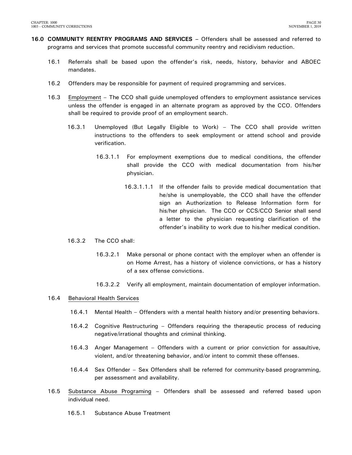- <span id="page-31-0"></span>**16.0 COMMUNITY REENTRY PROGRAMS AND SERVICES –** Offenders shall be assessed and referred to programs and services that promote successful community reentry and recidivism reduction.
	- 16.1 Referrals shall be based upon the offender's risk, needs, history, behavior and ABOEC mandates.
	- 16.2 Offenders may be responsible for payment of required programming and services.
	- 16.3 Employment The CCO shall guide unemployed offenders to employment assistance services unless the offender is engaged in an alternate program as approved by the CCO. Offenders shall be required to provide proof of an employment search.
		- 16.3.1 Unemployed (But Legally Eligible to Work) The CCO shall provide written instructions to the offenders to seek employment or attend school and provide verification.
			- 16.3.1.1 For employment exemptions due to medical conditions, the offender shall provide the CCO with medical documentation from his/her physician.
				- 16.3.1.1.1 If the offender fails to provide medical documentation that he/she is unemployable, the CCO shall have the offender sign an Authorization to Release Information form for his/her physician. The CCO or CCS/CCO Senior shall send a letter to the physician requesting clarification of the offender's inability to work due to his/her medical condition.
		- 16.3.2 The CCO shall:
			- 16.3.2.1 Make personal or phone contact with the employer when an offender is on Home Arrest, has a history of violence convictions, or has a history of a sex offense convictions.
			- 16.3.2.2 Verify all employment, maintain documentation of employer information.

### 16.4 Behavioral Health Services

- 16.4.1 Mental Health Offenders with a mental health history and/or presenting behaviors.
- 16.4.2 Cognitive Restructuring Offenders requiring the therapeutic process of reducing negative/irrational thoughts and criminal thinking.
- 16.4.3 Anger Management Offenders with a current or prior conviction for assaultive, violent, and/or threatening behavior, and/or intent to commit these offenses.
- 16.4.4 Sex Offender Sex Offenders shall be referred for community-based programming, per assessment and availability.
- 16.5 Substance Abuse Programing Offenders shall be assessed and referred based upon individual need.
	- 16.5.1 Substance Abuse Treatment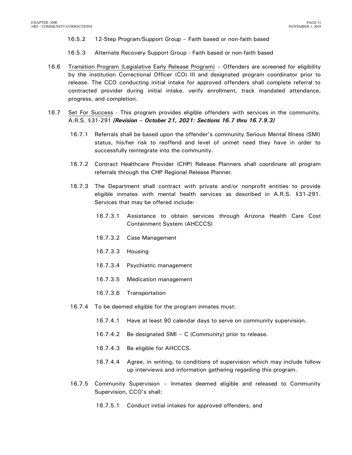- 16.5.2 12-Step Program/Support Group Faith based or non-faith based
- 16.5.3 Alternate Recovery Support Group Faith based or non-faith based
- 16.6 Transition Program (Legislative Early Release Program) Offenders are screened for eligibility by the institution Correctional Officer (CO) III and designated program coordinator prior to release. The CCO conducting initial intake for approved offenders shall complete referral to contracted provider during initial intake, verify enrollment, track mandated attendance, progress, and completion.
- 16.7 Set For Success This program provides eligible offenders with services in the community. A.R.S. §31-291 *[Revision – October 21, 2021: Sections 16.7 thru 16.7.9.3]*
	- 16.7.1 Referrals shall be based upon the offender's community Serious Mental Illness (SMI) status, his/her risk to reoffend and level of unmet need they have in order to successfully reintegrate into the community.
	- 16.7.2 Contract Healthcare Provider (CHP) Release Planners shall coordinate all program referrals through the CHP Regional Release Planner.
	- 16.7.3 The Department shall contract with private and/or nonprofit entities to provide eligible inmates with mental health services as described in A.R.S. §31-291. Services that may be offered include:
		- 16.7.3.1 Assistance to obtain services through Arizona Health Care Cost Containment System (AHCCCS)
		- 16.7.3.2 Case Management
		- 16.7.3.3 Housing
		- 16.7.3.4 Psychiatric management
		- 16.7.3.5 Medication management
		- 16.7.3.6 Transportation
	- 16.7.4 To be deemed eligible for the program inmates must:
		- 16.7.4.1 Have at least 90 calendar days to serve on community supervision.
		- 16.7.4.2 Be designated SMI C (Community) prior to release.
		- 16.7.4.3 Be eligible for AHCCCS.
		- 16.7.4.4 Agree, in writing, to conditions of supervision which may include follow up interviews and information gathering regarding this program.
	- 16.7.5 Community Supervision Inmates deemed eligible and released to Community Supervision, CCO's shall:
		- 16.7.5.1 Conduct initial intakes for approved offenders, and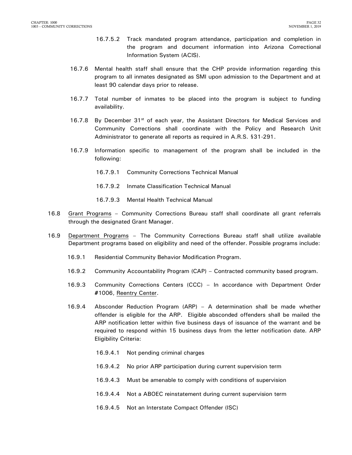- 16.7.5.2 Track mandated program attendance, participation and completion in the program and document information into Arizona Correctional Information System (ACIS).
- 16.7.6 Mental health staff shall ensure that the CHP provide information regarding this program to all inmates designated as SMI upon admission to the Department and at least 90 calendar days prior to release.
- 16.7.7 Total number of inmates to be placed into the program is subject to funding availability.
- 16.7.8 By December  $31<sup>st</sup>$  of each year, the Assistant Directors for Medical Services and Community Corrections shall coordinate with the Policy and Research Unit Administrator to generate all reports as required in A.R.S. §31-291.
- 16.7.9 Information specific to management of the program shall be included in the following:
	- 16.7.9.1 Community Corrections Technical Manual
	- 16.7.9.2 Inmate Classification Technical Manual
	- 16.7.9.3 Mental Health Technical Manual
- 16.8 Grant Programs Community Corrections Bureau staff shall coordinate all grant referrals through the designated Grant Manager.
- 16.9 Department Programs The Community Corrections Bureau staff shall utilize available Department programs based on eligibility and need of the offender. Possible programs include:
	- 16.9.1 Residential Community Behavior Modification Program.
	- 16.9.2 Community Accountability Program (CAP) Contracted community based program.
	- 16.9.3 Community Corrections Centers (CCC) In accordance with Department Order **#**1006, Reentry Center.
	- 16.9.4 Absconder Reduction Program (ARP) A determination shall be made whether offender is eligible for the ARP. Eligible absconded offenders shall be mailed the ARP notification letter within five business days of issuance of the warrant and be required to respond within 15 business days from the letter notification date. ARP Eligibility Criteria:
		- 16.9.4.1 Not pending criminal charges
		- 16.9.4.2 No prior ARP participation during current supervision term
		- 16.9.4.3 Must be amenable to comply with conditions of supervision
		- 16.9.4.4 Not a ABOEC reinstatement during current supervision term
		- 16.9.4.5 Not an Interstate Compact Offender (ISC)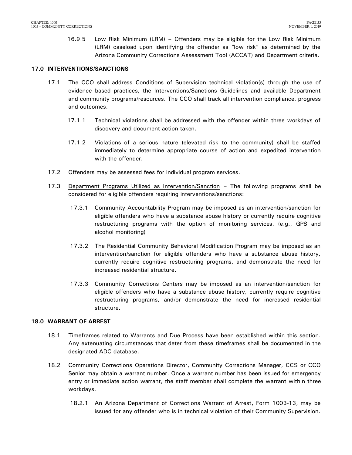16.9.5 Low Risk Minimum (LRM) – Offenders may be eligible for the Low Risk Minimum (LRM) caseload upon identifying the offender as "low risk" as determined by the Arizona Community Corrections Assessment Tool (ACCAT) and Department criteria.

### <span id="page-34-0"></span>**17.0 INTERVENTIONS/SANCTIONS**

- 17.1 The CCO shall address Conditions of Supervision technical violation(s) through the use of evidence based practices, the Interventions/Sanctions Guidelines and available Department and community programs/resources. The CCO shall track all intervention compliance, progress and outcomes.
	- 17.1.1 Technical violations shall be addressed with the offender within three workdays of discovery and document action taken.
	- 17.1.2 Violations of a serious nature (elevated risk to the community) shall be staffed immediately to determine appropriate course of action and expedited intervention with the offender.
- 17.2 Offenders may be assessed fees for individual program services.
- 17.3 Department Programs Utilized as Intervention/Sanction The following programs shall be considered for eligible offenders requiring interventions/sanctions:
	- 17.3.1 Community Accountability Program may be imposed as an intervention/sanction for eligible offenders who have a substance abuse history or currently require cognitive restructuring programs with the option of monitoring services. (e.g., GPS and alcohol monitoring)
	- 17.3.2 The Residential Community Behavioral Modification Program may be imposed as an intervention/sanction for eligible offenders who have a substance abuse history, currently require cognitive restructuring programs, and demonstrate the need for increased residential structure.
	- 17.3.3 Community Corrections Centers may be imposed as an intervention/sanction for eligible offenders who have a substance abuse history, currently require cognitive restructuring programs, and/or demonstrate the need for increased residential structure.

#### <span id="page-34-1"></span>**18.0 WARRANT OF ARREST**

- 18.1 Timeframes related to Warrants and Due Process have been established within this section. Any extenuating circumstances that deter from these timeframes shall be documented in the designated ADC database.
- 18.2 Community Corrections Operations Director, Community Corrections Manager, CCS or CCO Senior may obtain a warrant number. Once a warrant number has been issued for emergency entry or immediate action warrant, the staff member shall complete the warrant within three workdays.
	- 18.2.1 An Arizona Department of Corrections Warrant of Arrest, Form 1003-13, may be issued for any offender who is in technical violation of their Community Supervision.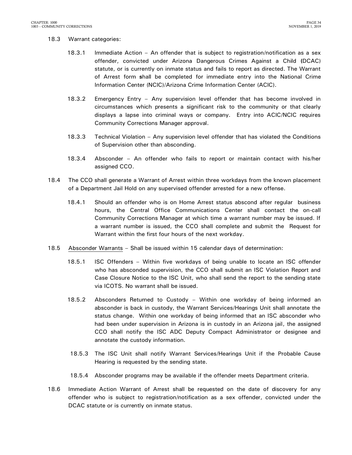#### 18.3 Warrant categories:

- 18.3.1 Immediate Action An offender that is subject to registration/notification as a sex offender, convicted under Arizona Dangerous Crimes Against a Child **(**DCAC) statute, or is currently on inmate status and fails to report as directed. The Warrant of Arrest form **s**hall be completed for immediate entry into the National Crime Information Center (NCIC)/Arizona Crime Information Center (ACIC).
- 18.3.2 Emergency Entry Any supervision level offender that has become involved in circumstances which presents a significant risk to the community or that clearly displays a lapse into criminal ways or company. Entry into ACIC/NCIC requires Community Corrections Manager approval.
- 18.3.3 Technical Violation Any supervision level offender that has violated the Conditions of Supervision other than absconding.
- 18.3.4 Absconder An offender who fails to report or maintain contact with his/her assigned CCO.
- 18.4 The CCO shall generate a Warrant of Arrest within three workdays from the known placement of a Department Jail Hold on any supervised offender arrested for a new offense.
	- 18.4.1 Should an offender who is on Home Arrest status abscond after regular business hours, the Central Office Communications Center shall contact the on-call Community Corrections Manager at which time a warrant number may be issued. If a warrant number is issued, the CCO shall complete and submit the Request for Warrant within the first four hours of the next workday.
- 18.5 Absconder Warrants Shall be issued within 15 calendar days of determination:
	- 18.5.1 ISC Offenders Within five workdays of being unable to locate an ISC offender who has absconded supervision, the CCO shall submit an ISC Violation Report and Case Closure Notice to the ISC Unit, who shall send the report to the sending state via ICOTS. No warrant shall be issued.
	- 18.5.2 Absconders Returned to Custody Within one workday of being informed an absconder is back in custody, the Warrant Services/Hearings Unit shall annotate the status change. Within one workday of being informed that an ISC absconder who had been under supervision in Arizona is in custody in an Arizona jail, the assigned CCO shall notify the ISC ADC Deputy Compact Administrator or designee and annotate the custody information.
	- 18.5.3 The ISC Unit shall notify Warrant Services/Hearings Unit if the Probable Cause Hearing is requested by the sending state.
	- 18.5.4 Absconder programs may be available if the offender meets Department criteria.
- 18.6 Immediate Action Warrant of Arrest shall be requested on the date of discovery for any offender who is subject to registration/notification as a sex offender, convicted under the DCAC statute or is currently on inmate status.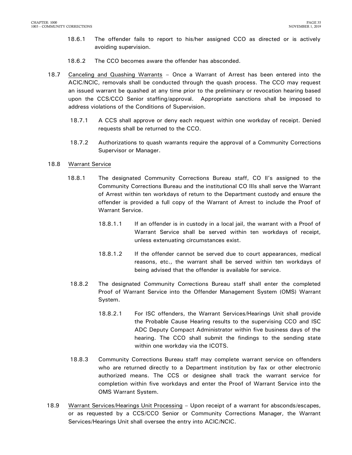- 18.6.1 The offender fails to report to his/her assigned CCO as directed or is actively avoiding supervision.
- 18.6.2 The CCO becomes aware the offender has absconded.
- 18.7 Canceling and Quashing Warrants Once a Warrant of Arrest has been entered into the ACIC/NCIC, removals shall be conducted through the quash process. The CCO may request an issued warrant be quashed at any time prior to the preliminary or revocation hearing based upon the CCS/CCO Senior staffing/approval. Appropriate sanctions shall be imposed to address violations of the Conditions of Supervision.
	- 18.7.1 A CCS shall approve or deny each request within one workday of receipt. Denied requests shall be returned to the CCO.
	- 18.7.2 Authorizations to quash warrants require the approval of a Community Corrections Supervisor or Manager.

### 18.8 Warrant Service

- 18.8.1 The designated Community Corrections Bureau staff, CO II's assigned to the Community Corrections Bureau and the institutional CO IIIs shall serve the Warrant of Arrest within ten workdays of return to the Department custody and ensure the offender is provided a full copy of the Warrant of Arrest to include the Proof of Warrant Service.
	- 18.8.1.1 If an offender is in custody in a local jail, the warrant with a Proof of Warrant Service shall be served within ten workdays of receipt, unless extenuating circumstances exist.
	- 18.8.1.2 If the offender cannot be served due to court appearances, medical reasons, etc., the warrant shall be served within ten workdays of being advised that the offender is available for service.
- 18.8.2 The designated Community Corrections Bureau staff shall enter the completed Proof of Warrant Service into the Offender Management System (OMS) Warrant System.
	- 18.8.2.1 For ISC offenders, the Warrant Services/Hearings Unit shall provide the Probable Cause Hearing results to the supervising CCO and ISC ADC Deputy Compact Administrator within five business days of the hearing. The CCO shall submit the findings to the sending state within one workday via the ICOTS.
- 18.8.3 Community Corrections Bureau staff may complete warrant service on offenders who are returned directly to a Department institution by fax or other electronic authorized means. The CCS or designee shall track the warrant service for completion within five workdays and enter the Proof of Warrant Service into the OMS Warrant System.
- 18.9 Warrant Services/Hearings Unit Processing Upon receipt of a warrant for absconds/escapes, or as requested by a CCS/CCO Senior or Community Corrections Manager, the Warrant Services/Hearings Unit shall oversee the entry into ACIC/NCIC.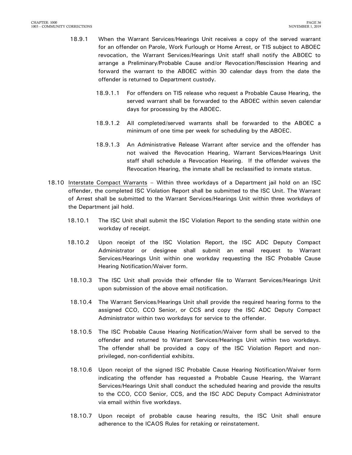- 18.9.1 When the Warrant Services/Hearings Unit receives a copy of the served warrant for an offender on Parole, Work Furlough or Home Arrest, or TIS subject to ABOEC revocation, the Warrant Services/Hearings Unit staff shall notify the ABOEC to arrange a Preliminary/Probable Cause and/or Revocation/Rescission Hearing and forward the warrant to the ABOEC within 30 calendar days from the date the offender is returned to Department custody.
	- 18.9.1.1 For offenders on TIS release who request a Probable Cause Hearing, the served warrant shall be forwarded to the ABOEC within seven calendar days for processing by the ABOEC.
	- 18.9.1.2 All completed/served warrants shall be forwarded to the ABOEC a minimum of one time per week for scheduling by the ABOEC.
	- 18.9.1.3 An Administrative Release Warrant after service and the offender has not waived the Revocation Hearing, Warrant Services/Hearings Unit staff shall schedule a Revocation Hearing. If the offender waives the Revocation Hearing, the inmate shall be reclassified to inmate status.
- 18.10 Interstate Compact Warrants Within three workdays of a Department jail hold on an ISC offender, the completed ISC Violation Report shall be submitted to the ISC Unit. The Warrant of Arrest shall be submitted to the Warrant Services/Hearings Unit within three workdays of the Department jail hold.
	- 18.10.1 The ISC Unit shall submit the ISC Violation Report to the sending state within one workday of receipt.
	- 18.10.2 Upon receipt of the ISC Violation Report, the ISC ADC Deputy Compact Administrator or designee shall submit an email request to Warrant Services/Hearings Unit within one workday requesting the ISC Probable Cause Hearing Notification/Waiver form.
	- 18.10.3 The ISC Unit shall provide their offender file to Warrant Services/Hearings Unit upon submission of the above email notification.
	- 18.10.4 The Warrant Services/Hearings Unit shall provide the required hearing forms to the assigned CCO, CCO Senior, or CCS and copy the ISC ADC Deputy Compact Administrator within two workdays for service to the offender.
	- 18.10.5 The ISC Probable Cause Hearing Notification/Waiver form shall be served to the offender and returned to Warrant Services/Hearings Unit within two workdays. The offender shall be provided a copy of the ISC Violation Report and nonprivileged, non-confidential exhibits.
	- 18.10.6 Upon receipt of the signed ISC Probable Cause Hearing Notification/Waiver form indicating the offender has requested a Probable Cause Hearing, the Warrant Services/Hearings Unit shall conduct the scheduled hearing and provide the results to the CCO, CCO Senior, CCS, and the ISC ADC Deputy Compact Administrator via email within five workdays.
	- 18.10.7 Upon receipt of probable cause hearing results, the ISC Unit shall ensure adherence to the ICAOS Rules for retaking or reinstatement.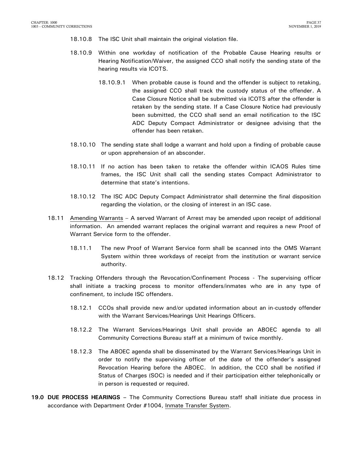- 18.10.8 The ISC Unit shall maintain the original violation file.
- 18.10.9 Within one workday of notification of the Probable Cause Hearing results or Hearing Notification/Waiver, the assigned CCO shall notify the sending state of the hearing results via ICOTS.
	- 18.10.9.1 When probable cause is found and the offender is subject to retaking, the assigned CCO shall track the custody status of the offender. A Case Closure Notice shall be submitted via ICOTS after the offender is retaken by the sending state. If a Case Closure Notice had previously been submitted, the CCO shall send an email notification to the ISC ADC Deputy Compact Administrator or designee advising that the offender has been retaken.
- 18.10.10 The sending state shall lodge a warrant and hold upon a finding of probable cause or upon apprehension of an absconder.
- 18.10.11 If no action has been taken to retake the offender within ICAOS Rules time frames, the ISC Unit shall call the sending states Compact Administrator to determine that state's intentions.
- 18.10.12 The ISC ADC Deputy Compact Administrator shall determine the final disposition regarding the violation, or the closing of interest in an ISC case.
- 18.11 Amending Warrants A served Warrant of Arrest may be amended upon receipt of additional information. An amended warrant replaces the original warrant and requires a new Proof of Warrant Service form to the offender.
	- 18.11.1 The new Proof of Warrant Service form shall be scanned into the OMS Warrant System within three workdays of receipt from the institution or warrant service authority.
- 18.12 Tracking Offenders through the Revocation/Confinement Process The supervising officer shall initiate a tracking process to monitor offenders/inmates who are in any type of confinement, to include ISC offenders.
	- 18.12.1 CCOs shall provide new and/or updated information about an in-custody offender with the Warrant Services/Hearings Unit Hearings Officers.
	- 18.12.2 The Warrant Services/Hearings Unit shall provide an ABOEC agenda to all Community Corrections Bureau staff at a minimum of twice monthly.
	- 18.12.3 The ABOEC agenda shall be disseminated by the Warrant Services/Hearings Unit in order to notify the supervising officer of the date of the offender's assigned Revocation Hearing before the ABOEC. In addition, the CCO shall be notified if Status of Charges (SOC) is needed and if their participation either telephonically or in person is requested or required.
- <span id="page-38-0"></span>**19.0 DUE PROCESS HEARINGS –** The Community Corrections Bureau staff shall initiate due process in accordance with Department Order #1004, Inmate Transfer System.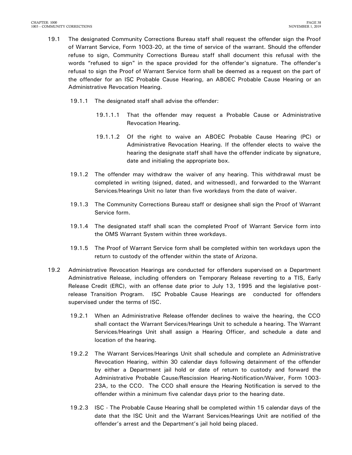- 19.1 The designated Community Corrections Bureau staff shall request the offender sign the Proof of Warrant Service, Form 1003-20, at the time of service of the warrant. Should the offender refuse to sign, Community Corrections Bureau staff shall document this refusal with the words "refused to sign" in the space provided for the offender's signature. The offender's refusal to sign the Proof of Warrant Service form shall be deemed as a request on the part of the offender for an ISC Probable Cause Hearing, an ABOEC Probable Cause Hearing or an Administrative Revocation Hearing.
	- 19.1.1 The designated staff shall advise the offender:
		- 19.1.1.1 That the offender may request a Probable Cause or Administrative Revocation Hearing.
		- 19.1.1.2 Of the right to waive an ABOEC Probable Cause Hearing (PC) or Administrative Revocation Hearing. If the offender elects to waive the hearing the designate staff shall have the offender indicate by signature, date and initialing the appropriate box.
	- 19.1.2 The offender may withdraw the waiver of any hearing. This withdrawal must be completed in writing (signed, dated, and witnessed), and forwarded to the Warrant Services/Hearings Unit no later than five workdays from the date of waiver.
	- 19.1.3 The Community Corrections Bureau staff or designee shall sign the Proof of Warrant Service form.
	- 19.1.4 The designated staff shall scan the completed Proof of Warrant Service form into the OMS Warrant System within three workdays.
	- 19.1.5 The Proof of Warrant Service form shall be completed within ten workdays upon the return to custody of the offender within the state of Arizona.
- 19.2 Administrative Revocation Hearings are conducted for offenders supervised on a Department Administrative Release, including offenders on Temporary Release reverting to a TIS, Early Release Credit (ERC), with an offense date prior to July 13, 1995 and the legislative postrelease Transition Program. ISC Probable Cause Hearings are conducted for offenders supervised under the terms of ISC.
	- 19.2.1 When an Administrative Release offender declines to waive the hearing, the CCO shall contact the Warrant Services/Hearings Unit to schedule a hearing. The Warrant Services/Hearings Unit shall assign a Hearing Officer, and schedule a date and location of the hearing.
	- 19.2.2 The Warrant Services/Hearings Unit shall schedule and complete an Administrative Revocation Hearing, within 30 calendar days following detainment of the offender by either a Department jail hold or date of return to custody and forward the Administrative Probable Cause/Rescission Hearing-Notification/Waiver, Form 1003- 23A, to the CCO. The CCO shall ensure the Hearing Notification is served to the offender within a minimum five calendar days prior to the hearing date.
	- 19.2.3 ISC The Probable Cause Hearing shall be completed within 15 calendar days of the date that the ISC Unit and the Warrant Services/Hearings Unit are notified of the offender's arrest and the Department's jail hold being placed.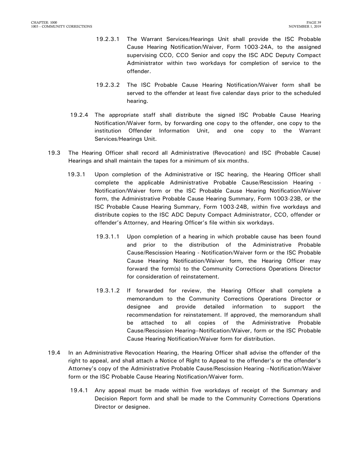- 19.2.3.1 The Warrant Services/Hearings Unit shall provide the ISC Probable Cause Hearing Notification/Waiver, Form 1003-24A, to the assigned supervising CCO, CCO Senior and copy the ISC ADC Deputy Compact Administrator within two workdays for completion of service to the offender.
- 19.2.3.2 The ISC Probable Cause Hearing Notification/Waiver form shall be served to the offender at least five calendar days prior to the scheduled hearing.
- 19.2.4 The appropriate staff shall distribute the signed ISC Probable Cause Hearing Notification/Waiver form, by forwarding one copy to the offender, one copy to the institution Offender Information Unit, and one copy to the Warrant Services/Hearings Unit.
- 19.3 The Hearing Officer shall record all Administrative (Revocation) and ISC (Probable Cause) Hearings and shall maintain the tapes for a minimum of six months.
	- 19.3.1 Upon completion of the Administrative or ISC hearing, the Hearing Officer shall complete the applicable Administrative Probable Cause/Rescission Hearing - Notification/Waiver form or the ISC Probable Cause Hearing Notification/Waiver form, the Administrative Probable Cause Hearing Summary, Form 1003-23B, or the ISC Probable Cause Hearing Summary, Form 1003-24B, within five workdays and distribute copies to the ISC ADC Deputy Compact Administrator, CCO, offender or offender's Attorney, and Hearing Officer's file within six workdays.
		- 19.3.1.1 Upon completion of a hearing in which probable cause has been found and prior to the distribution of the Administrative Probable Cause/Rescission Hearing - Notification/Waiver form or the ISC Probable Cause Hearing Notification/Waiver form, the Hearing Officer may forward the form(s) to the Community Corrections Operations Director for consideration of reinstatement.
		- 19.3.1.2 If forwarded for review, the Hearing Officer shall complete a memorandum to the Community Corrections Operations Director or designee and provide detailed information to support the recommendation for reinstatement. If approved, the memorandum shall be attached to all copies of the Administrative Probable Cause/Rescission Hearing–Notification/Waiver, form or the ISC Probable Cause Hearing Notification/Waiver form for distribution.
- 19.4 In an Administrative Revocation Hearing, the Hearing Officer shall advise the offender of the right to appeal, and shall attach a Notice of Right to Appeal to the offender's or the offender's Attorney's copy of the Administrative Probable Cause/Rescission Hearing –Notification/Waiver form or the ISC Probable Cause Hearing Notification/Waiver form.
	- 19.4.1 Any appeal must be made within five workdays of receipt of the Summary and Decision Report form and shall be made to the Community Corrections Operations Director or designee.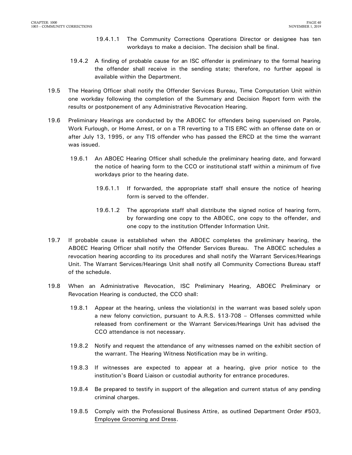- 19.4.1.1 The Community Corrections Operations Director or designee has ten workdays to make a decision. The decision shall be final.
- 19.4.2 A finding of probable cause for an ISC offender is preliminary to the formal hearing the offender shall receive in the sending state; therefore, no further appeal is available within the Department.
- 19.5 The Hearing Officer shall notify the Offender Services Bureau, Time Computation Unit within one workday following the completion of the Summary and Decision Report form with the results or postponement of any Administrative Revocation Hearing.
- 19.6 Preliminary Hearings are conducted by the ABOEC for offenders being supervised on Parole, Work Furlough, or Home Arrest, or on a TR reverting to a TIS ERC with an offense date on or after July 13, 1995, or any TIS offender who has passed the ERCD at the time the warrant was issued.
	- 19.6.1 An ABOEC Hearing Officer shall schedule the preliminary hearing date, and forward the notice of hearing form to the CCO or institutional staff within a minimum of five workdays prior to the hearing date.
		- 19.6.1.1 If forwarded, the appropriate staff shall ensure the notice of hearing form is served to the offender.
		- 19.6.1.2 The appropriate staff shall distribute the signed notice of hearing form, by forwarding one copy to the ABOEC, one copy to the offender, and one copy to the institution Offender Information Unit.
- 19.7 If probable cause is established when the ABOEC completes the preliminary hearing, the ABOEC Hearing Officer shall notify the Offender Services Bureau. The ABOEC schedules a revocation hearing according to its procedures and shall notify the Warrant Services/Hearings Unit. The Warrant Services/Hearings Unit shall notify all Community Corrections Bureau staff of the schedule.
- 19.8 When an Administrative Revocation, ISC Preliminary Hearing, ABOEC Preliminary or Revocation Hearing is conducted, the CCO shall:
	- 19.8.1 Appear at the hearing, unless the violation(s) in the warrant was based solely upon a new felony conviction, pursuant to A.R.S. §13-708 – Offenses committed while released from confinement or the Warrant Services/Hearings Unit has advised the CCO attendance is not necessary.
	- 19.8.2 Notify and request the attendance of any witnesses named on the exhibit section of the warrant. The Hearing Witness Notification may be in writing.
	- 19.8.3 If witnesses are expected to appear at a hearing, give prior notice to the institution's Board Liaison or custodial authority for entrance procedures.
	- 19.8.4 Be prepared to testify in support of the allegation and current status of any pending criminal charges.
	- 19.8.5 Comply with the Professional Business Attire, as outlined Department Order #503, Employee Grooming and Dress.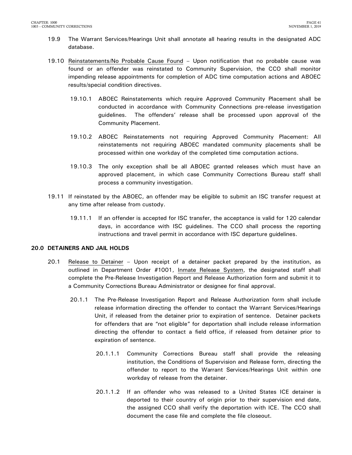- 19.9 The Warrant Services/Hearings Unit shall annotate all hearing results in the designated ADC database.
- 19.10 Reinstatements/No Probable Cause Found Upon notification that no probable cause was found or an offender was reinstated to Community Supervision, the CCO shall monitor impending release appointments for completion of ADC time computation actions and ABOEC results/special condition directives.
	- 19.10.1 ABOEC Reinstatements which require Approved Community Placement shall be conducted in accordance with Community Connections pre-release investigation guidelines. The offenders' release shall be processed upon approval of the Community Placement.
	- 19.10.2 ABOEC Reinstatements not requiring Approved Community Placement: All reinstatements not requiring ABOEC mandated community placements shall be processed within one workday of the completed time computation actions.
	- 19.10.3 The only exception shall be all ABOEC granted releases which must have an approved placement, in which case Community Corrections Bureau staff shall process a community investigation.
- 19.11 If reinstated by the ABOEC, an offender may be eligible to submit an ISC transfer request at any time after release from custody.
	- 19.11.1 If an offender is accepted for ISC transfer, the acceptance is valid for 120 calendar days, in accordance with ISC guidelines. The CCO shall process the reporting instructions and travel permit in accordance with ISC departure guidelines.

### <span id="page-42-0"></span>**20.0 DETAINERS AND JAIL HOLDS**

- 20.1 Release to Detainer Upon receipt of a detainer packet prepared by the institution, as outlined in Department Order #1001, Inmate Release System, the designated staff shall complete the Pre-Release Investigation Report and Release Authorization form and submit it to a Community Corrections Bureau Administrator or designee for final approval.
	- 20.1.1 The Pre-Release Investigation Report and Release Authorization form shall include release information directing the offender to contact the Warrant Services/Hearings Unit, if released from the detainer prior to expiration of sentence. Detainer packets for offenders that are "not eligible" for deportation shall include release information directing the offender to contact a field office, if released from detainer prior to expiration of sentence.
		- 20.1.1.1 Community Corrections Bureau staff shall provide the releasing institution, the Conditions of Supervision and Release form, directing the offender to report to the Warrant Services/Hearings Unit within one workday of release from the detainer.
		- 20.1.1.2 If an offender who was released to a United States ICE detainer is deported to their country of origin prior to their supervision end date, the assigned CCO shall verify the deportation with ICE. The CCO shall document the case file and complete the file closeout.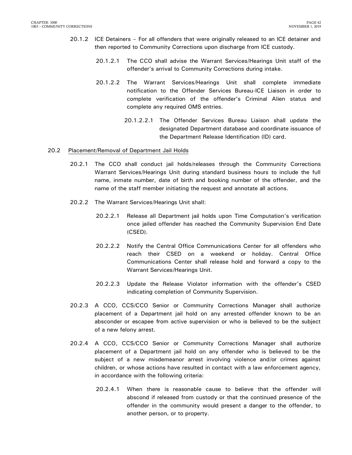- 20.1.2 ICE Detainers For all offenders that were originally released to an ICE detainer and then reported to Community Corrections upon discharge from ICE custody.
	- 20.1.2.1 The CCO shall advise the Warrant Services/Hearings Unit staff of the offender's arrival to Community Corrections during intake.
	- 20.1.2.2 The Warrant Services/Hearings Unit shall complete immediate notification to the Offender Services Bureau-ICE Liaison in order to complete verification of the offender's Criminal Alien status and complete any required OMS entries.
		- 20.1.2.2.1 The Offender Services Bureau Liaison shall update the designated Department database and coordinate issuance of the Department Release Identification (ID) card.

#### 20.2 Placement/Removal of Department Jail Holds

- 20.2.1 The CCO shall conduct jail holds/releases through the Community Corrections Warrant Services/Hearings Unit during standard business hours to include the full name, inmate number, date of birth and booking number of the offender, and the name of the staff member initiating the request and annotate all actions.
- 20.2.2 The Warrant Services/Hearings Unit shall:
	- 20.2.2.1 Release all Department jail holds upon Time Computation's verification once jailed offender has reached the Community Supervision End Date (CSED).
	- 20.2.2.2 Notify the Central Office Communications Center for all offenders who reach their CSED on a weekend or holiday. Central Office Communications Center shall release hold and forward a copy to the Warrant Services/Hearings Unit.
	- 20.2.2.3 Update the Release Violator information with the offender's CSED indicating completion of Community Supervision.
- 20.2.3 A CCO, CCS/CCO Senior or Community Corrections Manager shall authorize placement of a Department jail hold on any arrested offender known to be an absconder or escapee from active supervision or who is believed to be the subject of a new felony arrest.
- 20.2.4 A CCO, CCS/CCO Senior or Community Corrections Manager shall authorize placement of a Department jail hold on any offender who is believed to be the subject of a new misdemeanor arrest involving violence and/or crimes against children, or whose actions have resulted in contact with a law enforcement agency, in accordance with the following criteria:
	- 20.2.4.1 When there is reasonable cause to believe that the offender will abscond if released from custody or that the continued presence of the offender in the community would present a danger to the offender, to another person, or to property.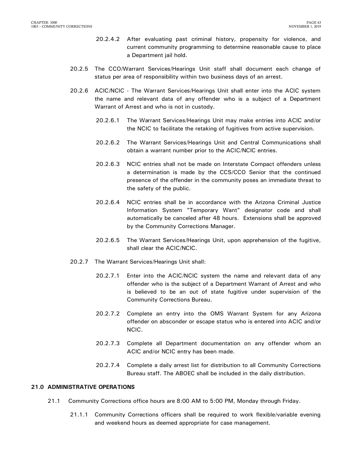- 20.2.4.2 After evaluating past criminal history, propensity for violence, and current community programming to determine reasonable cause to place a Department jail hold.
- 20.2.5 The CCO/Warrant Services/Hearings Unit staff shall document each change of status per area of responsibility within two business days of an arrest.
- 20.2.6 ACIC/NCIC The Warrant Services/Hearings Unit shall enter into the ACIC system the name and relevant data of any offender who is a subject of a Department Warrant of Arrest and who is not in custody.
	- 20.2.6.1 The Warrant Services/Hearings Unit may make entries into ACIC and/or the NCIC to facilitate the retaking of fugitives from active supervision.
	- 20.2.6.2 The Warrant Services/Hearings Unit and Central Communications shall obtain a warrant number prior to the ACIC/NCIC entries.
	- 20.2.6.3 NCIC entries shall not be made on Interstate Compact offenders unless a determination is made by the CCS/CCO Senior that the continued presence of the offender in the community poses an immediate threat to the safety of the public.
	- 20.2.6.4 NCIC entries shall be in accordance with the Arizona Criminal Justice Information System "Temporary Want" designator code and shall automatically be canceled after 48 hours. Extensions shall be approved by the Community Corrections Manager.
	- 20.2.6.5 The Warrant Services/Hearings Unit, upon apprehension of the fugitive, shall clear the ACIC/NCIC.
- 20.2.7 The Warrant Services/Hearings Unit shall:
	- 20.2.7.1 Enter into the ACIC/NCIC system the name and relevant data of any offender who is the subject of a Department Warrant of Arrest and who is believed to be an out of state fugitive under supervision of the Community Corrections Bureau.
	- 20.2.7.2 Complete an entry into the OMS Warrant System for any Arizona offender on absconder or escape status who is entered into ACIC and/or NCIC.
	- 20.2.7.3 Complete all Department documentation on any offender whom an ACIC and/or NCIC entry has been made.
	- 20.2.7.4 Complete a daily arrest list for distribution to all Community Corrections Bureau staff. The ABOEC shall be included in the daily distribution.

### <span id="page-44-0"></span>**21.0 ADMINISTRATIVE OPERATIONS**

- 21.1 Community Corrections office hours are 8:00 AM to 5:00 PM, Monday through Friday.
	- 21.1.1 Community Corrections officers shall be required to work flexible/variable evening and weekend hours as deemed appropriate for case management.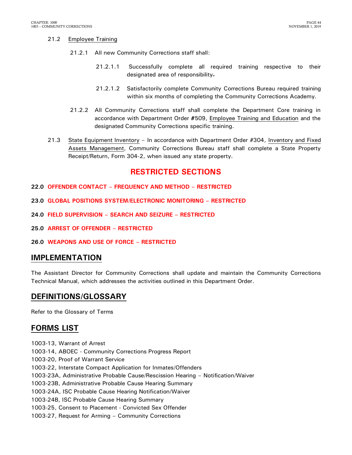### 21.2 Employee Training

- 21.2.1 All new Community Corrections staff shall:
	- 21.2.1.1 Successfully complete all required training respective to their designated area of responsibility.
	- 21.2.1.2 Satisfactorily complete Community Corrections Bureau required training within six months of completing the Community Corrections Academy.
- 21.2.2 All Community Corrections staff shall complete the Department Core training in accordance with Department Order **#**509, Employee Training and Education and the designated Community Corrections specific training.
- 21.3 State Equipment Inventory In accordance with Department Order #304, Inventory and Fixed Assets Management, Community Corrections Bureau staff shall complete a State Property Receipt/Return, Form 304-2, when issued any state property.

## **RESTRICTED SECTIONS**

- <span id="page-45-0"></span>**22.0 OFFENDER CONTACT – FREQUENCY AND METHOD – RESTRICTED**
- <span id="page-45-1"></span>**23.0 GLOBAL POSITIONS SYSTEM/ELECTRONIC MONITORING – RESTRICTED**
- <span id="page-45-2"></span>**24.0 FIELD SUPERVISION – SEARCH AND SEIZURE – RESTRICTED**
- <span id="page-45-3"></span>**25.0 ARREST OF OFFENDER – RESTRICTED**
- <span id="page-45-4"></span>**26.0 WEAPONS AND USE OF FORCE – RESTRICTED**

### <span id="page-45-5"></span>**IMPLEMENTATION**

The Assistant Director for Community Corrections shall update and maintain the Community Corrections Technical Manual, which addresses the activities outlined in this Department Order.

## <span id="page-45-6"></span>**DEFINITIONS/GLOSSARY**

Refer to the Glossary of Terms

## <span id="page-45-7"></span>**FORMS LIST**

1003-13, Warrant of Arrest 1003-14, ABOEC - Community Corrections Progress Report 1003-20, Proof of Warrant Service 1003-22, Interstate Compact Application for Inmates/Offenders 1003-23A, Administrative Probable Cause/Rescission Hearing – Notification/Waiver 1003-23B, Administrative Probable Cause Hearing Summary 1003-24A, ISC Probable Cause Hearing Notification/Waiver 1003-24B, ISC Probable Cause Hearing Summary 1003-25, Consent to Placement - Convicted Sex Offender 1003-27, Request for Arming – Community Corrections